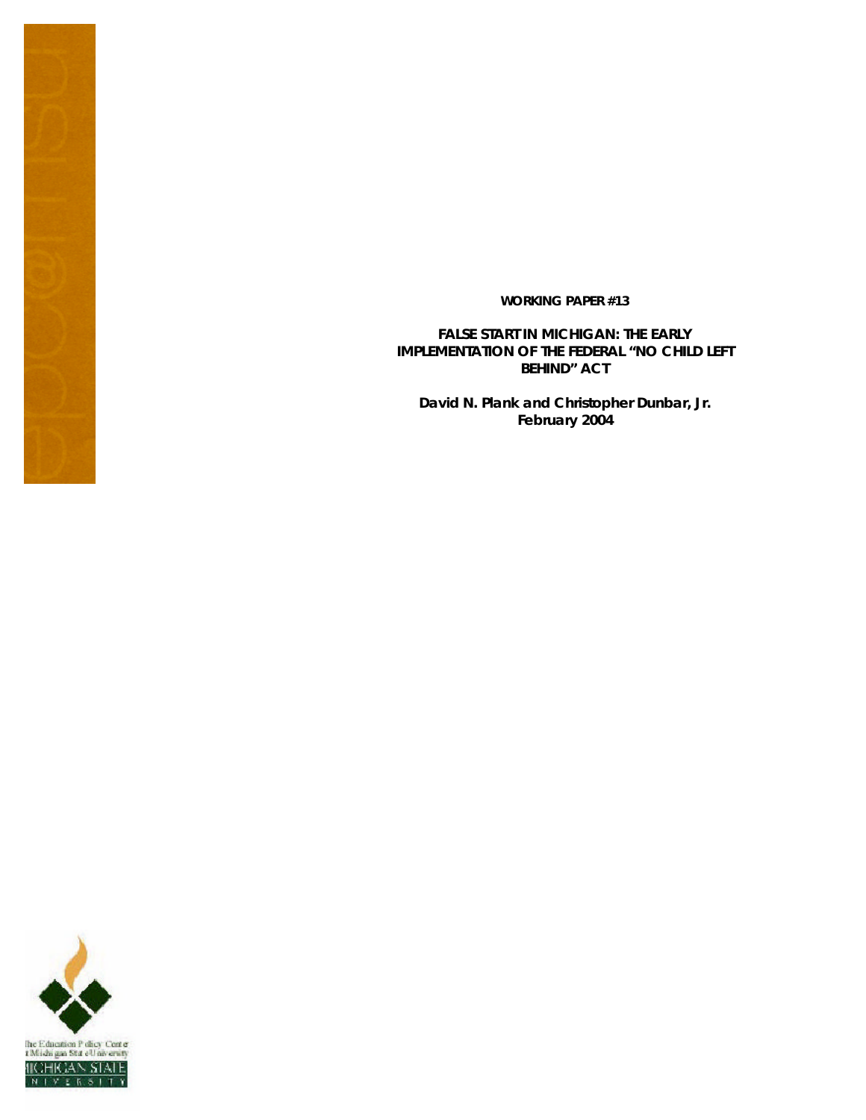#### **WORKING PAPER #13**

**FALSE START IN MICHIGAN: THE EARLY IMPLEMENTATION OF THE FEDERAL "NO CHILD LEFT BEHIND" ACT**

**David N. Plank and Christopher Dunbar, Jr. February 2004**

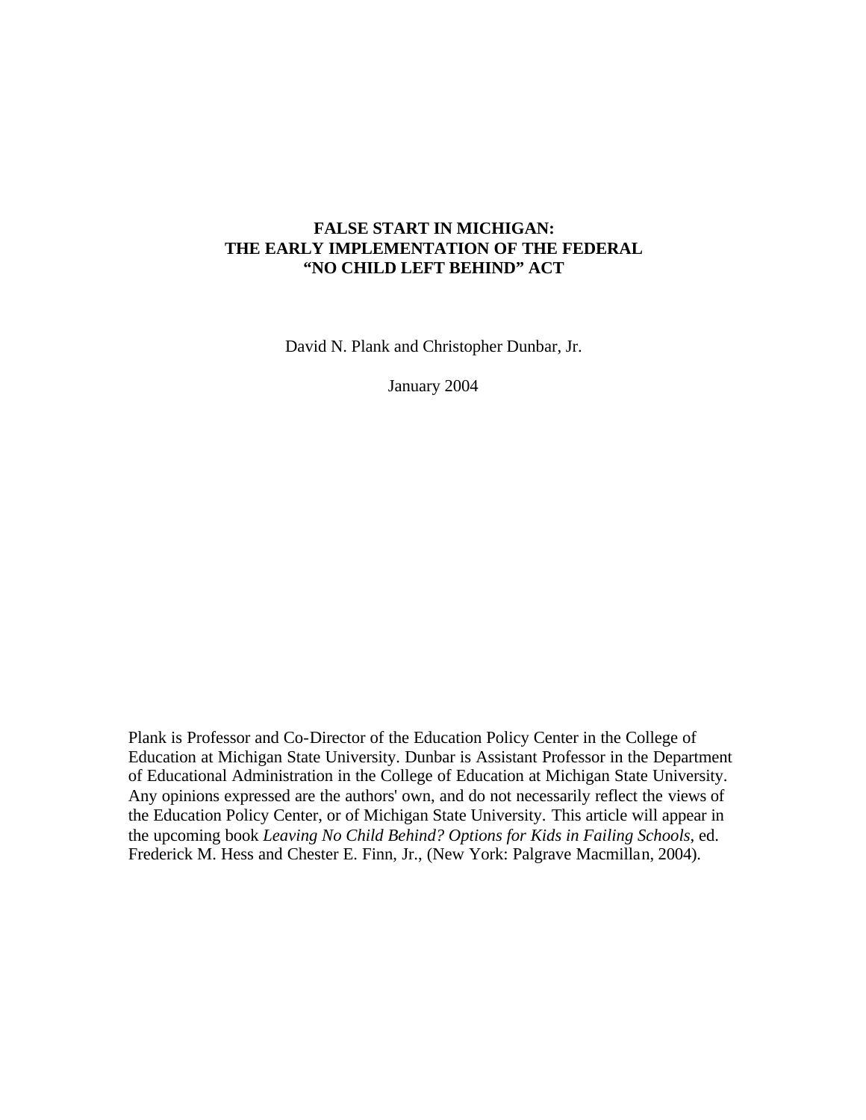# **FALSE START IN MICHIGAN: THE EARLY IMPLEMENTATION OF THE FEDERAL "NO CHILD LEFT BEHIND" ACT**

David N. Plank and Christopher Dunbar, Jr.

January 2004

Plank is Professor and Co-Director of the Education Policy Center in the College of Education at Michigan State University. Dunbar is Assistant Professor in the Department of Educational Administration in the College of Education at Michigan State University. Any opinions expressed are the authors' own, and do not necessarily reflect the views of the Education Policy Center, or of Michigan State University. This article will appear in the upcoming book *Leaving No Child Behind? Options for Kids in Failing Schools*, ed. Frederick M. Hess and Chester E. Finn, Jr., (New York: Palgrave Macmillan, 2004).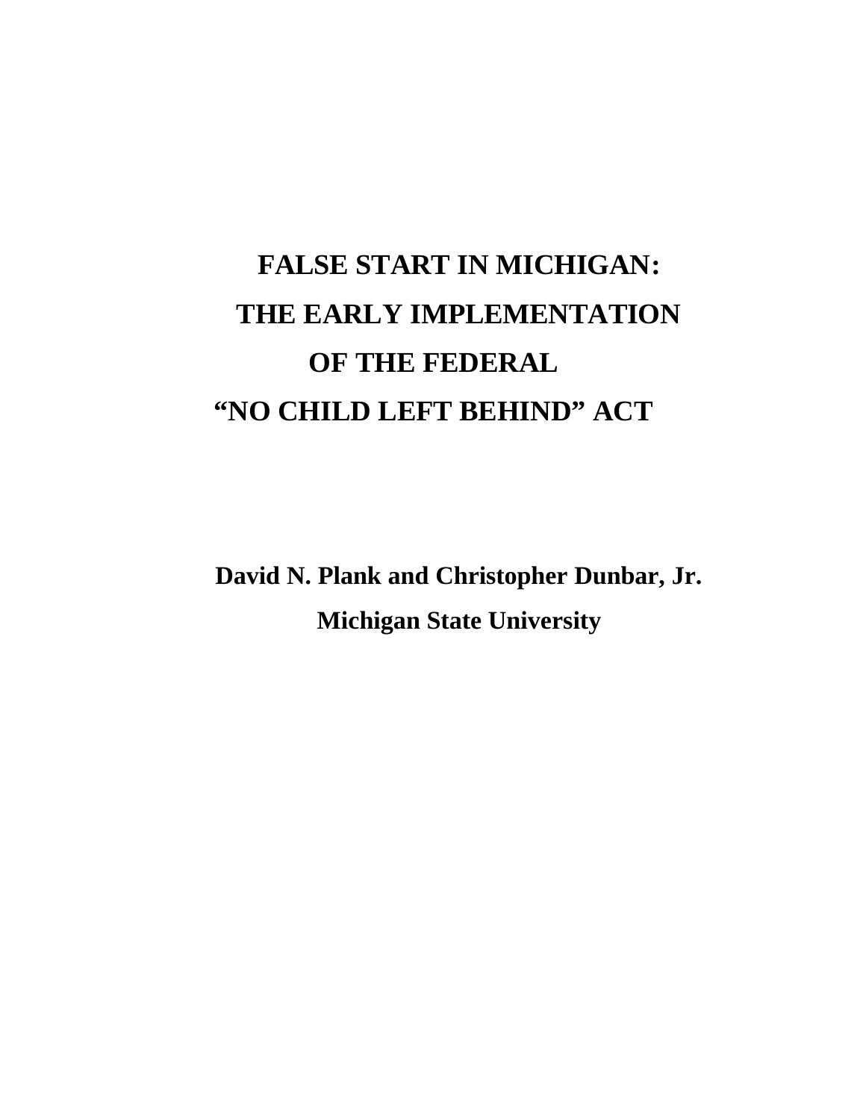# **FALSE START IN MICHIGAN: THE EARLY IMPLEMENTATION OF THE FEDERAL "NO CHILD LEFT BEHIND" ACT**

**David N. Plank and Christopher Dunbar, Jr. Michigan State University**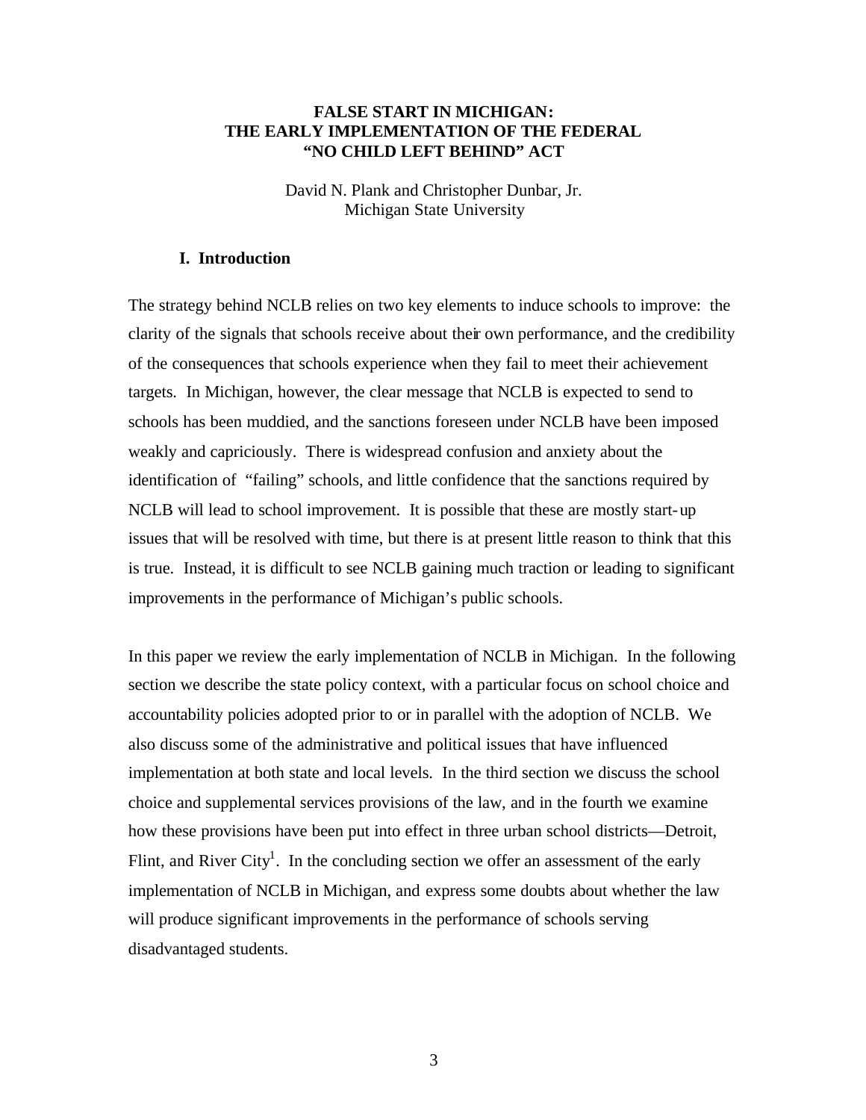# **FALSE START IN MICHIGAN: THE EARLY IMPLEMENTATION OF THE FEDERAL "NO CHILD LEFT BEHIND" ACT**

David N. Plank and Christopher Dunbar, Jr. Michigan State University

#### **I. Introduction**

The strategy behind NCLB relies on two key elements to induce schools to improve: the clarity of the signals that schools receive about their own performance, and the credibility of the consequences that schools experience when they fail to meet their achievement targets. In Michigan, however, the clear message that NCLB is expected to send to schools has been muddied, and the sanctions foreseen under NCLB have been imposed weakly and capriciously. There is widespread confusion and anxiety about the identification of "failing" schools, and little confidence that the sanctions required by NCLB will lead to school improvement. It is possible that these are mostly start-up issues that will be resolved with time, but there is at present little reason to think that this is true. Instead, it is difficult to see NCLB gaining much traction or leading to significant improvements in the performance of Michigan's public schools.

In this paper we review the early implementation of NCLB in Michigan. In the following section we describe the state policy context, with a particular focus on school choice and accountability policies adopted prior to or in parallel with the adoption of NCLB. We also discuss some of the administrative and political issues that have influenced implementation at both state and local levels. In the third section we discuss the school choice and supplemental services provisions of the law, and in the fourth we examine how these provisions have been put into effect in three urban school districts—Detroit, Flint, and River City<sup>1</sup>. In the concluding section we offer an assessment of the early implementation of NCLB in Michigan, and express some doubts about whether the law will produce significant improvements in the performance of schools serving disadvantaged students.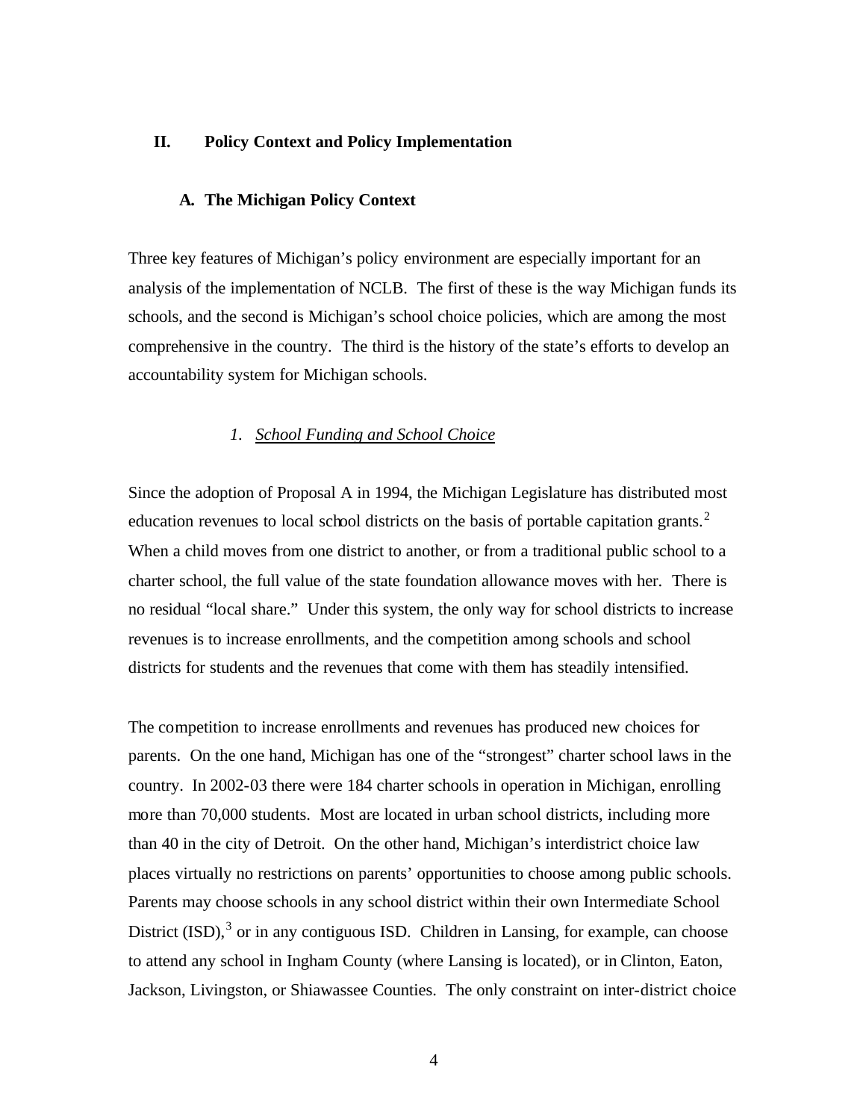#### **II. Policy Context and Policy Implementation**

#### **A. The Michigan Policy Context**

Three key features of Michigan's policy environment are especially important for an analysis of the implementation of NCLB. The first of these is the way Michigan funds its schools, and the second is Michigan's school choice policies, which are among the most comprehensive in the country. The third is the history of the state's efforts to develop an accountability system for Michigan schools.

#### *1. School Funding and School Choice*

Since the adoption of Proposal A in 1994, the Michigan Legislature has distributed most education revenues to local school districts on the basis of portable capitation grants.<sup>2</sup> When a child moves from one district to another, or from a traditional public school to a charter school, the full value of the state foundation allowance moves with her. There is no residual "local share." Under this system, the only way for school districts to increase revenues is to increase enrollments, and the competition among schools and school districts for students and the revenues that come with them has steadily intensified.

The competition to increase enrollments and revenues has produced new choices for parents. On the one hand, Michigan has one of the "strongest" charter school laws in the country. In 2002-03 there were 184 charter schools in operation in Michigan, enrolling more than 70,000 students. Most are located in urban school districts, including more than 40 in the city of Detroit. On the other hand, Michigan's interdistrict choice law places virtually no restrictions on parents' opportunities to choose among public schools. Parents may choose schools in any school district within their own Intermediate School District  $(ISD)$ ,  $3$  or in any contiguous ISD. Children in Lansing, for example, can choose to attend any school in Ingham County (where Lansing is located), or in Clinton, Eaton, Jackson, Livingston, or Shiawassee Counties. The only constraint on inter-district choice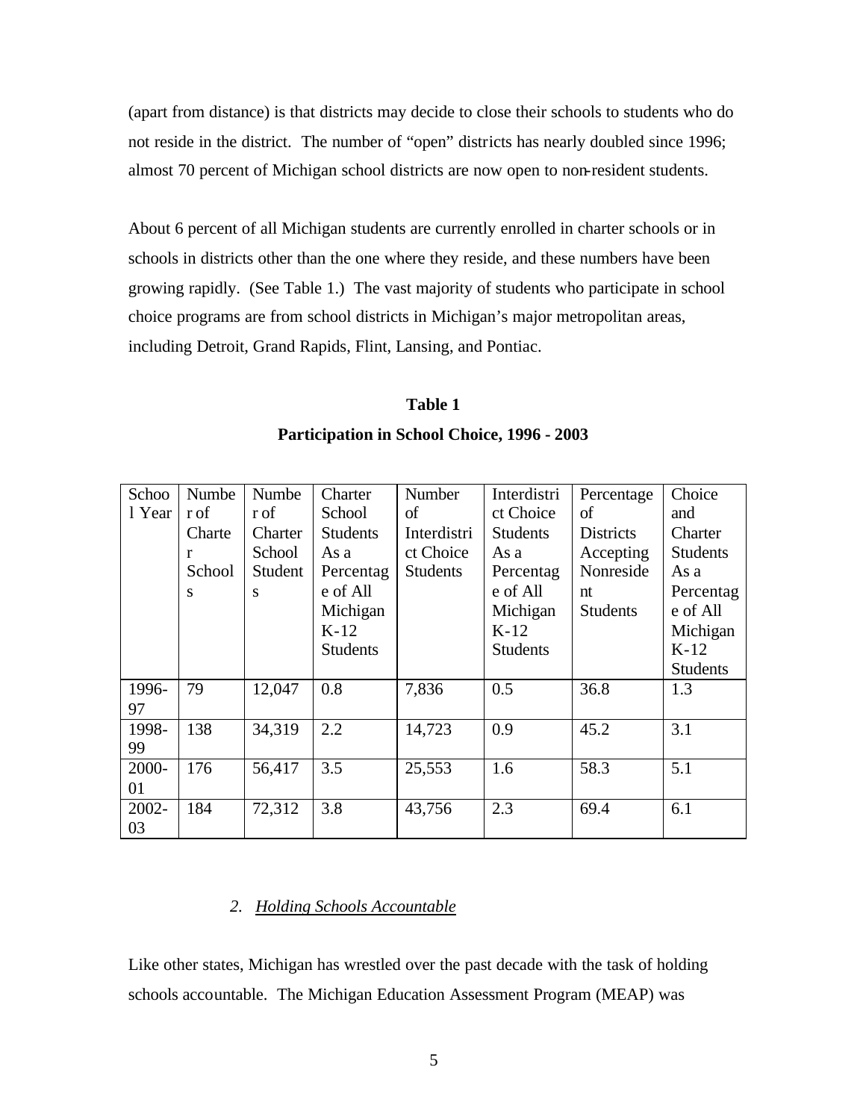(apart from distance) is that districts may decide to close their schools to students who do not reside in the district. The number of "open" districts has nearly doubled since 1996; almost 70 percent of Michigan school districts are now open to non-resident students.

About 6 percent of all Michigan students are currently enrolled in charter schools or in schools in districts other than the one where they reside, and these numbers have been growing rapidly. (See Table 1.) The vast majority of students who participate in school choice programs are from school districts in Michigan's major metropolitan areas, including Detroit, Grand Rapids, Flint, Lansing, and Pontiac.

#### **Table 1**

#### **Participation in School Choice, 1996 - 2003**

| Schoo  | Numbe  | Numbe   | Charter         | <b>Number</b>   | Interdistri     | Percentage       | Choice          |
|--------|--------|---------|-----------------|-----------------|-----------------|------------------|-----------------|
| 1 Year | r of   | r of    | School          | οf              | ct Choice       | of               | and             |
|        | Charte | Charter | <b>Students</b> | Interdistri     | <b>Students</b> | <b>Districts</b> | Charter         |
|        | r      | School  | As a            | ct Choice       | As a            | Accepting        | <b>Students</b> |
|        | School | Student | Percentag       | <b>Students</b> | Percentag       | Nonreside        | As a            |
|        | S      | S       | e of All        |                 | e of All        | nt               | Percentag       |
|        |        |         | Michigan        |                 | Michigan        | <b>Students</b>  | e of All        |
|        |        |         | $K-12$          |                 | $K-12$          |                  | Michigan        |
|        |        |         | <b>Students</b> |                 | <b>Students</b> |                  | $K-12$          |
|        |        |         |                 |                 |                 |                  | <b>Students</b> |
| 1996-  | 79     | 12,047  | 0.8             | 7,836           | 0.5             | 36.8             | 1.3             |
| 97     |        |         |                 |                 |                 |                  |                 |
| 1998-  | 138    | 34,319  | 2.2             | 14,723          | 0.9             | 45.2             | 3.1             |
| 99     |        |         |                 |                 |                 |                  |                 |
| 2000-  | 176    | 56,417  | 3.5             | 25,553          | 1.6             | 58.3             | 5.1             |
| 01     |        |         |                 |                 |                 |                  |                 |
| 2002-  | 184    | 72,312  | 3.8             | 43,756          | 2.3             | 69.4             | 6.1             |
| 03     |        |         |                 |                 |                 |                  |                 |

# *2. Holding Schools Accountable*

Like other states, Michigan has wrestled over the past decade with the task of holding schools accountable. The Michigan Education Assessment Program (MEAP) was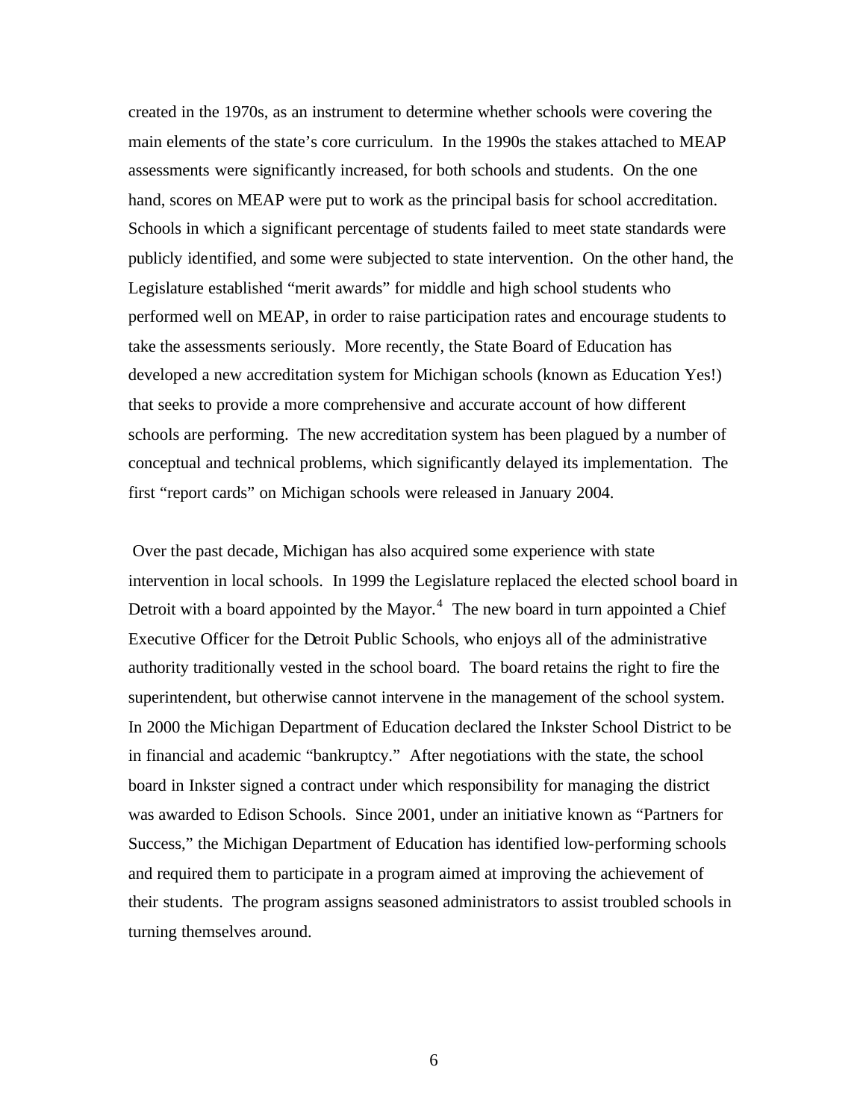created in the 1970s, as an instrument to determine whether schools were covering the main elements of the state's core curriculum. In the 1990s the stakes attached to MEAP assessments were significantly increased, for both schools and students. On the one hand, scores on MEAP were put to work as the principal basis for school accreditation. Schools in which a significant percentage of students failed to meet state standards were publicly identified, and some were subjected to state intervention. On the other hand, the Legislature established "merit awards" for middle and high school students who performed well on MEAP, in order to raise participation rates and encourage students to take the assessments seriously. More recently, the State Board of Education has developed a new accreditation system for Michigan schools (known as Education Yes!) that seeks to provide a more comprehensive and accurate account of how different schools are performing. The new accreditation system has been plagued by a number of conceptual and technical problems, which significantly delayed its implementation. The first "report cards" on Michigan schools were released in January 2004.

 Over the past decade, Michigan has also acquired some experience with state intervention in local schools. In 1999 the Legislature replaced the elected school board in Detroit with a board appointed by the Mayor.<sup>4</sup> The new board in turn appointed a Chief Executive Officer for the Detroit Public Schools, who enjoys all of the administrative authority traditionally vested in the school board. The board retains the right to fire the superintendent, but otherwise cannot intervene in the management of the school system. In 2000 the Michigan Department of Education declared the Inkster School District to be in financial and academic "bankruptcy." After negotiations with the state, the school board in Inkster signed a contract under which responsibility for managing the district was awarded to Edison Schools. Since 2001, under an initiative known as "Partners for Success," the Michigan Department of Education has identified low-performing schools and required them to participate in a program aimed at improving the achievement of their students. The program assigns seasoned administrators to assist troubled schools in turning themselves around.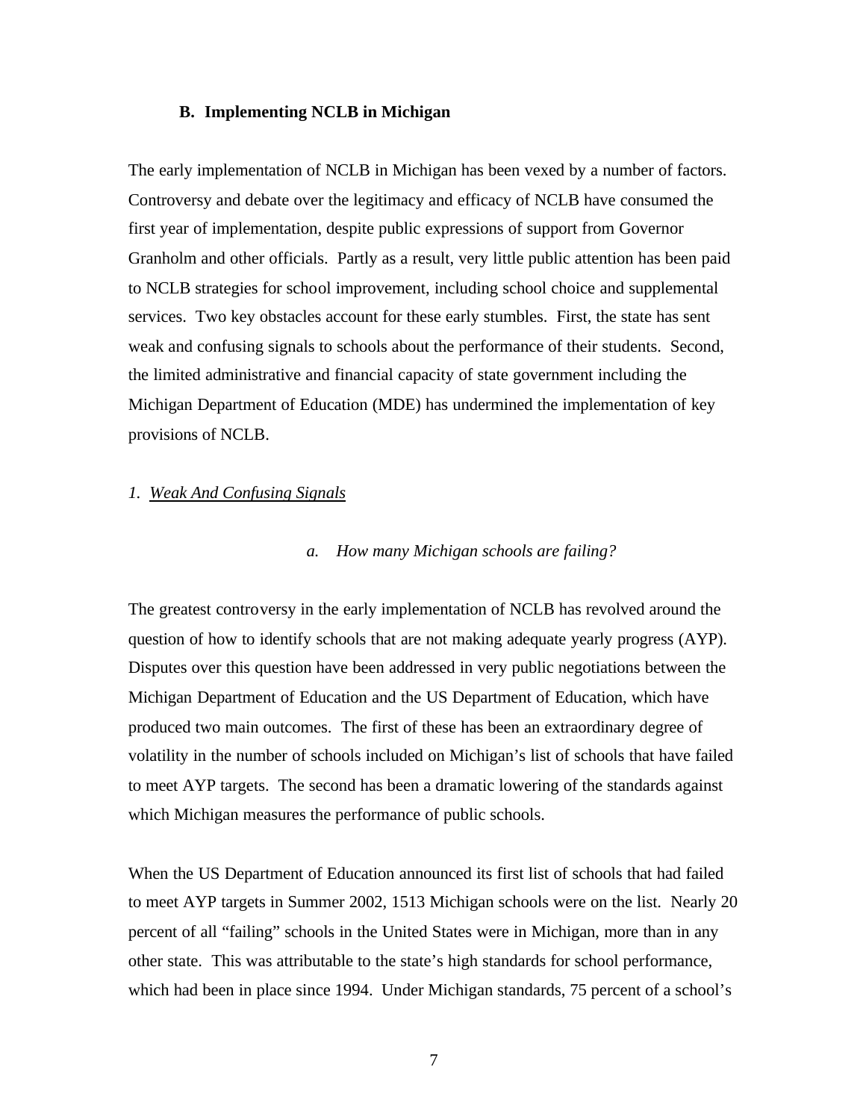#### **B. Implementing NCLB in Michigan**

The early implementation of NCLB in Michigan has been vexed by a number of factors. Controversy and debate over the legitimacy and efficacy of NCLB have consumed the first year of implementation, despite public expressions of support from Governor Granholm and other officials. Partly as a result, very little public attention has been paid to NCLB strategies for school improvement, including school choice and supplemental services. Two key obstacles account for these early stumbles. First, the state has sent weak and confusing signals to schools about the performance of their students. Second, the limited administrative and financial capacity of state government including the Michigan Department of Education (MDE) has undermined the implementation of key provisions of NCLB.

#### *1. Weak And Confusing Signals*

#### *a. How many Michigan schools are failing?*

The greatest controversy in the early implementation of NCLB has revolved around the question of how to identify schools that are not making adequate yearly progress (AYP). Disputes over this question have been addressed in very public negotiations between the Michigan Department of Education and the US Department of Education, which have produced two main outcomes. The first of these has been an extraordinary degree of volatility in the number of schools included on Michigan's list of schools that have failed to meet AYP targets. The second has been a dramatic lowering of the standards against which Michigan measures the performance of public schools.

When the US Department of Education announced its first list of schools that had failed to meet AYP targets in Summer 2002, 1513 Michigan schools were on the list. Nearly 20 percent of all "failing" schools in the United States were in Michigan, more than in any other state. This was attributable to the state's high standards for school performance, which had been in place since 1994. Under Michigan standards, 75 percent of a school's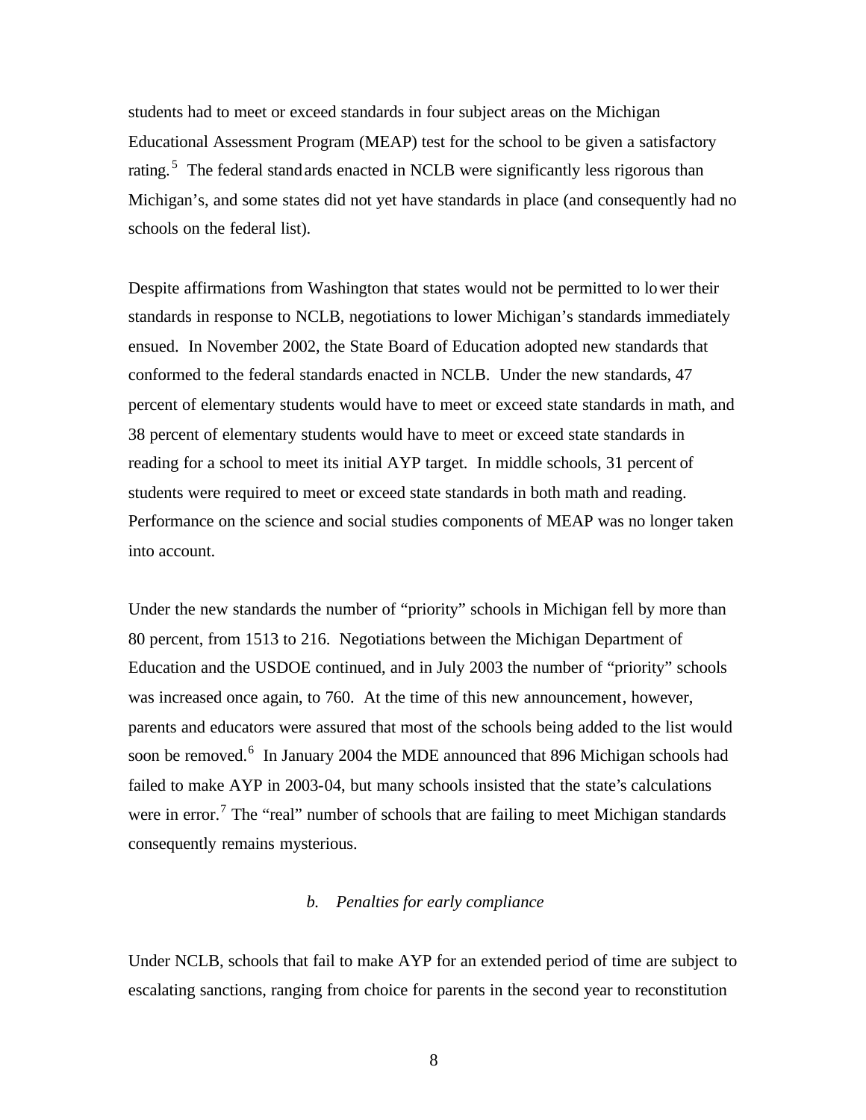students had to meet or exceed standards in four subject areas on the Michigan Educational Assessment Program (MEAP) test for the school to be given a satisfactory rating.<sup>5</sup> The federal stand ards enacted in NCLB were significantly less rigorous than Michigan's, and some states did not yet have standards in place (and consequently had no schools on the federal list).

Despite affirmations from Washington that states would not be permitted to lower their standards in response to NCLB, negotiations to lower Michigan's standards immediately ensued. In November 2002, the State Board of Education adopted new standards that conformed to the federal standards enacted in NCLB. Under the new standards, 47 percent of elementary students would have to meet or exceed state standards in math, and 38 percent of elementary students would have to meet or exceed state standards in reading for a school to meet its initial AYP target. In middle schools, 31 percent of students were required to meet or exceed state standards in both math and reading. Performance on the science and social studies components of MEAP was no longer taken into account.

Under the new standards the number of "priority" schools in Michigan fell by more than 80 percent, from 1513 to 216. Negotiations between the Michigan Department of Education and the USDOE continued, and in July 2003 the number of "priority" schools was increased once again, to 760. At the time of this new announcement, however, parents and educators were assured that most of the schools being added to the list would soon be removed.<sup>6</sup> In January 2004 the MDE announced that 896 Michigan schools had failed to make AYP in 2003-04, but many schools insisted that the state's calculations were in error.<sup>7</sup> The "real" number of schools that are failing to meet Michigan standards consequently remains mysterious.

# *b. Penalties for early compliance*

Under NCLB, schools that fail to make AYP for an extended period of time are subject to escalating sanctions, ranging from choice for parents in the second year to reconstitution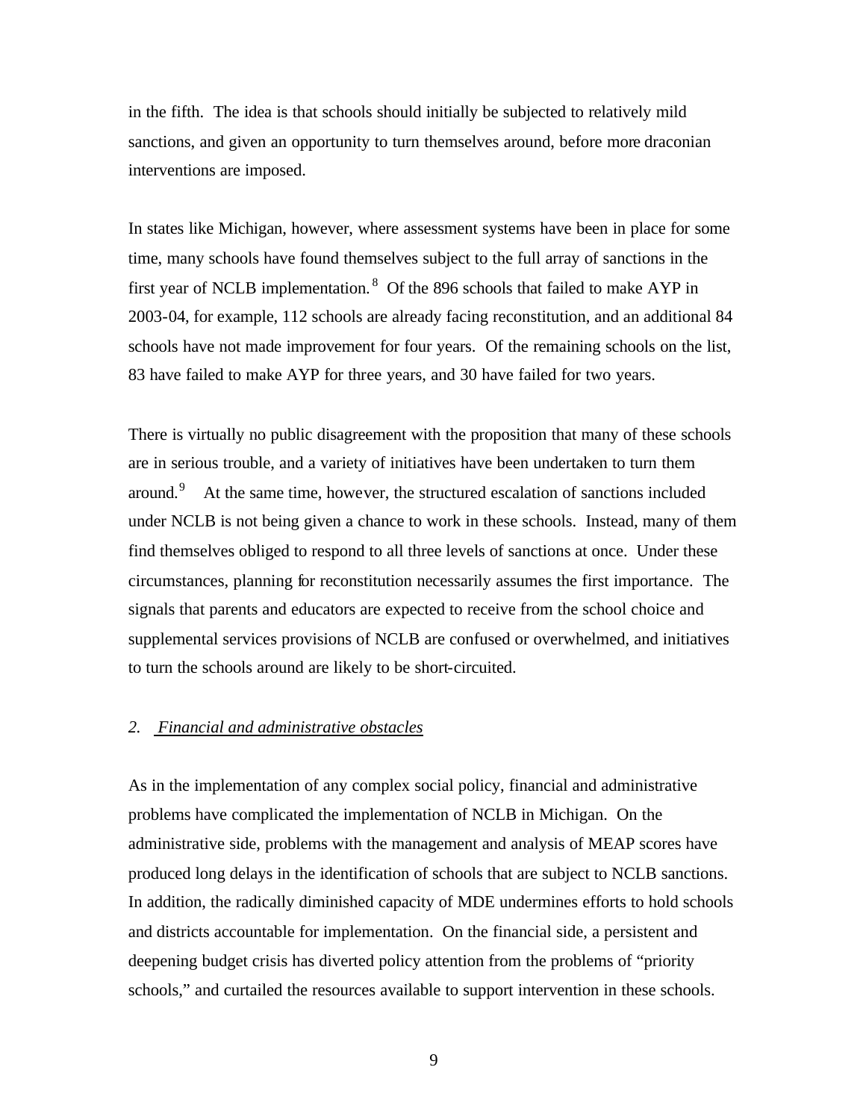in the fifth. The idea is that schools should initially be subjected to relatively mild sanctions, and given an opportunity to turn themselves around, before more draconian interventions are imposed.

In states like Michigan, however, where assessment systems have been in place for some time, many schools have found themselves subject to the full array of sanctions in the first year of NCLB implementation.  $8$  Of the 896 schools that failed to make AYP in 2003-04, for example, 112 schools are already facing reconstitution, and an additional 84 schools have not made improvement for four years. Of the remaining schools on the list, 83 have failed to make AYP for three years, and 30 have failed for two years.

There is virtually no public disagreement with the proposition that many of these schools are in serious trouble, and a variety of initiatives have been undertaken to turn them around.<sup>9</sup> At the same time, however, the structured escalation of sanctions included under NCLB is not being given a chance to work in these schools. Instead, many of them find themselves obliged to respond to all three levels of sanctions at once. Under these circumstances, planning for reconstitution necessarily assumes the first importance. The signals that parents and educators are expected to receive from the school choice and supplemental services provisions of NCLB are confused or overwhelmed, and initiatives to turn the schools around are likely to be short-circuited.

# *2. Financial and administrative obstacles*

As in the implementation of any complex social policy, financial and administrative problems have complicated the implementation of NCLB in Michigan. On the administrative side, problems with the management and analysis of MEAP scores have produced long delays in the identification of schools that are subject to NCLB sanctions. In addition, the radically diminished capacity of MDE undermines efforts to hold schools and districts accountable for implementation. On the financial side, a persistent and deepening budget crisis has diverted policy attention from the problems of "priority schools," and curtailed the resources available to support intervention in these schools.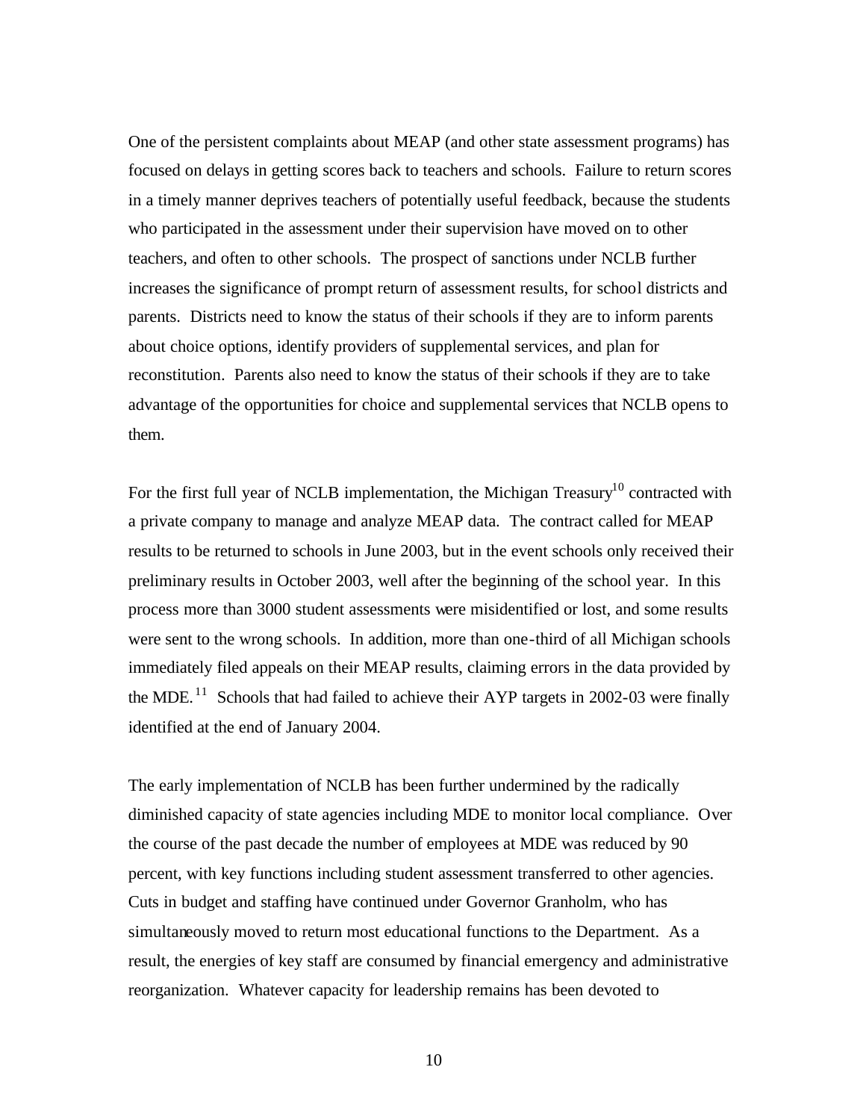One of the persistent complaints about MEAP (and other state assessment programs) has focused on delays in getting scores back to teachers and schools. Failure to return scores in a timely manner deprives teachers of potentially useful feedback, because the students who participated in the assessment under their supervision have moved on to other teachers, and often to other schools. The prospect of sanctions under NCLB further increases the significance of prompt return of assessment results, for school districts and parents. Districts need to know the status of their schools if they are to inform parents about choice options, identify providers of supplemental services, and plan for reconstitution. Parents also need to know the status of their schools if they are to take advantage of the opportunities for choice and supplemental services that NCLB opens to them.

For the first full year of NCLB implementation, the Michigan Treasury<sup>10</sup> contracted with a private company to manage and analyze MEAP data. The contract called for MEAP results to be returned to schools in June 2003, but in the event schools only received their preliminary results in October 2003, well after the beginning of the school year. In this process more than 3000 student assessments were misidentified or lost, and some results were sent to the wrong schools. In addition, more than one-third of all Michigan schools immediately filed appeals on their MEAP results, claiming errors in the data provided by the MDE.  $^{11}$  Schools that had failed to achieve their AYP targets in 2002-03 were finally identified at the end of January 2004.

The early implementation of NCLB has been further undermined by the radically diminished capacity of state agencies including MDE to monitor local compliance. Over the course of the past decade the number of employees at MDE was reduced by 90 percent, with key functions including student assessment transferred to other agencies. Cuts in budget and staffing have continued under Governor Granholm, who has simultaneously moved to return most educational functions to the Department. As a result, the energies of key staff are consumed by financial emergency and administrative reorganization. Whatever capacity for leadership remains has been devoted to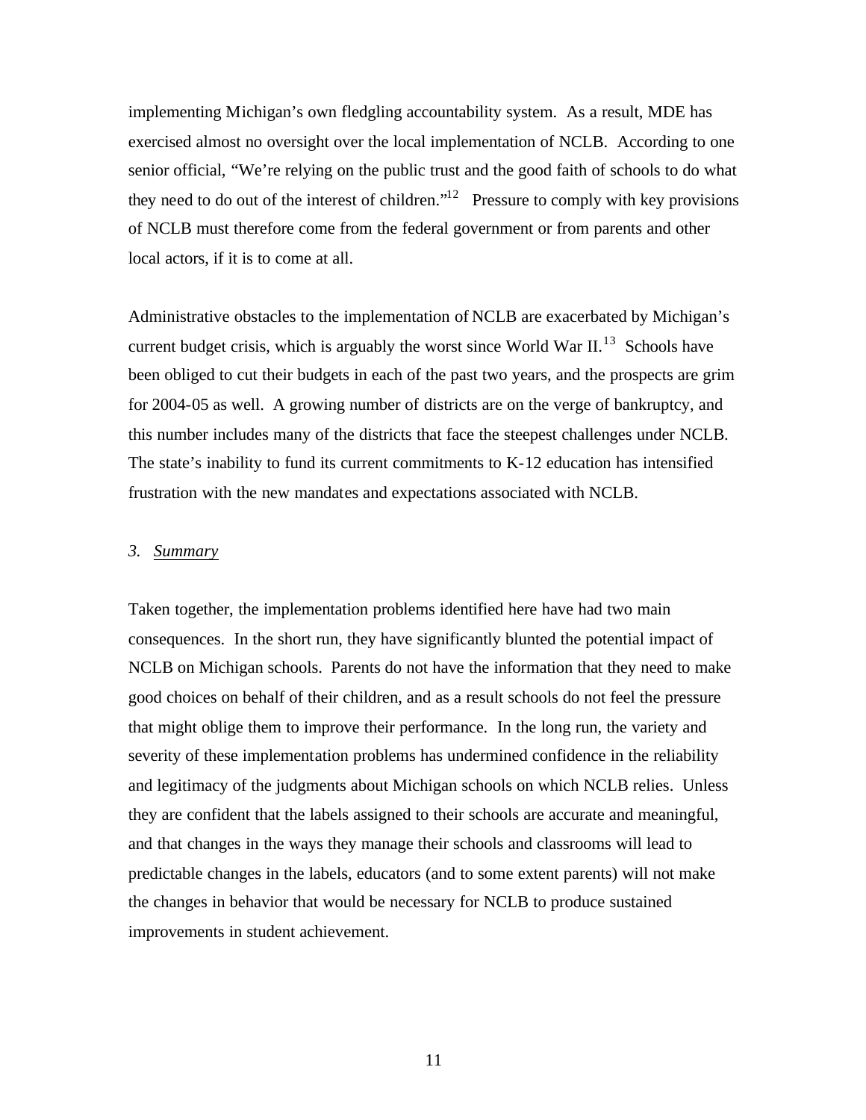implementing Michigan's own fledgling accountability system. As a result, MDE has exercised almost no oversight over the local implementation of NCLB. According to one senior official, "We're relying on the public trust and the good faith of schools to do what they need to do out of the interest of children."<sup>12</sup> Pressure to comply with key provisions of NCLB must therefore come from the federal government or from parents and other local actors, if it is to come at all.

Administrative obstacles to the implementation of NCLB are exacerbated by Michigan's current budget crisis, which is arguably the worst since World War  $II$ <sup>13</sup>. Schools have been obliged to cut their budgets in each of the past two years, and the prospects are grim for 2004-05 as well. A growing number of districts are on the verge of bankruptcy, and this number includes many of the districts that face the steepest challenges under NCLB. The state's inability to fund its current commitments to K-12 education has intensified frustration with the new mandates and expectations associated with NCLB.

#### *3. Summary*

Taken together, the implementation problems identified here have had two main consequences. In the short run, they have significantly blunted the potential impact of NCLB on Michigan schools. Parents do not have the information that they need to make good choices on behalf of their children, and as a result schools do not feel the pressure that might oblige them to improve their performance. In the long run, the variety and severity of these implementation problems has undermined confidence in the reliability and legitimacy of the judgments about Michigan schools on which NCLB relies. Unless they are confident that the labels assigned to their schools are accurate and meaningful, and that changes in the ways they manage their schools and classrooms will lead to predictable changes in the labels, educators (and to some extent parents) will not make the changes in behavior that would be necessary for NCLB to produce sustained improvements in student achievement.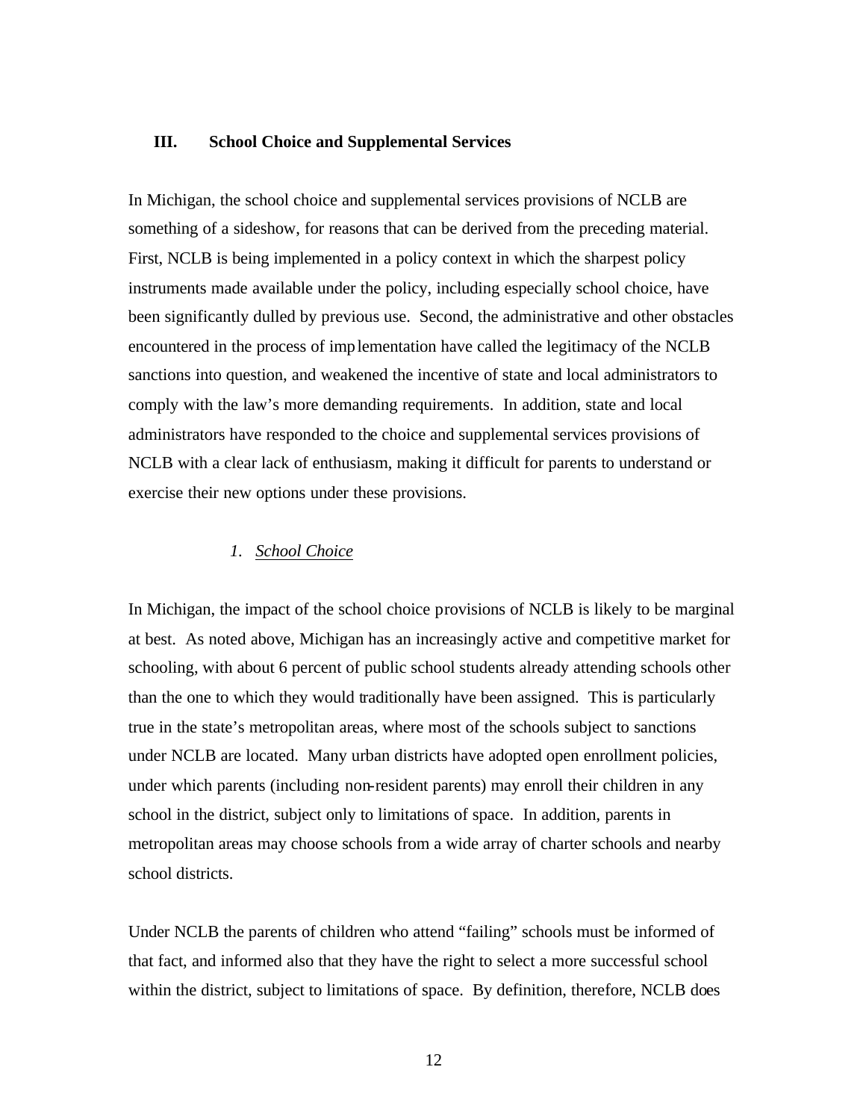# **III. School Choice and Supplemental Services**

In Michigan, the school choice and supplemental services provisions of NCLB are something of a sideshow, for reasons that can be derived from the preceding material. First, NCLB is being implemented in a policy context in which the sharpest policy instruments made available under the policy, including especially school choice, have been significantly dulled by previous use. Second, the administrative and other obstacles encountered in the process of implementation have called the legitimacy of the NCLB sanctions into question, and weakened the incentive of state and local administrators to comply with the law's more demanding requirements. In addition, state and local administrators have responded to the choice and supplemental services provisions of NCLB with a clear lack of enthusiasm, making it difficult for parents to understand or exercise their new options under these provisions.

# *1. School Choice*

In Michigan, the impact of the school choice provisions of NCLB is likely to be marginal at best. As noted above, Michigan has an increasingly active and competitive market for schooling, with about 6 percent of public school students already attending schools other than the one to which they would traditionally have been assigned. This is particularly true in the state's metropolitan areas, where most of the schools subject to sanctions under NCLB are located. Many urban districts have adopted open enrollment policies, under which parents (including non-resident parents) may enroll their children in any school in the district, subject only to limitations of space. In addition, parents in metropolitan areas may choose schools from a wide array of charter schools and nearby school districts.

Under NCLB the parents of children who attend "failing" schools must be informed of that fact, and informed also that they have the right to select a more successful school within the district, subject to limitations of space. By definition, therefore, NCLB does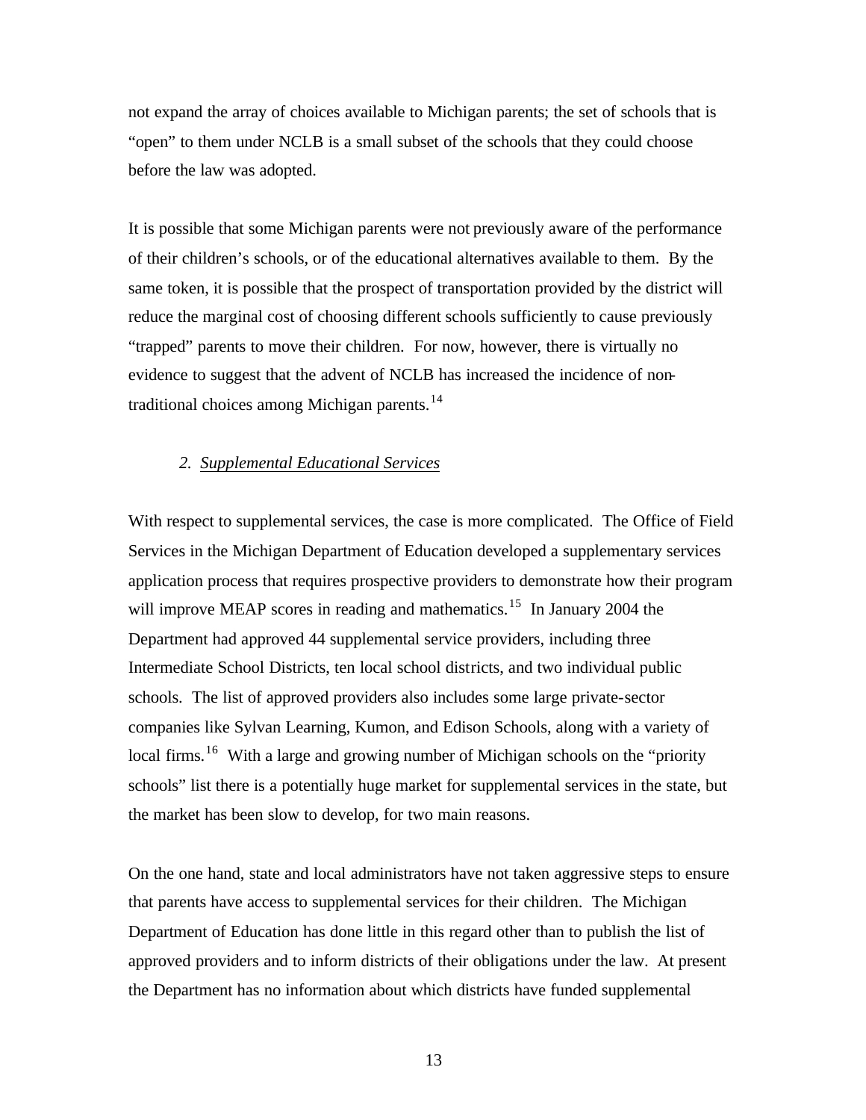not expand the array of choices available to Michigan parents; the set of schools that is "open" to them under NCLB is a small subset of the schools that they could choose before the law was adopted.

It is possible that some Michigan parents were not previously aware of the performance of their children's schools, or of the educational alternatives available to them. By the same token, it is possible that the prospect of transportation provided by the district will reduce the marginal cost of choosing different schools sufficiently to cause previously "trapped" parents to move their children. For now, however, there is virtually no evidence to suggest that the advent of NCLB has increased the incidence of nontraditional choices among Michigan parents.<sup>14</sup>

#### *2. Supplemental Educational Services*

With respect to supplemental services, the case is more complicated. The Office of Field Services in the Michigan Department of Education developed a supplementary services application process that requires prospective providers to demonstrate how their program will improve MEAP scores in reading and mathematics.<sup>15</sup> In January 2004 the Department had approved 44 supplemental service providers, including three Intermediate School Districts, ten local school districts, and two individual public schools. The list of approved providers also includes some large private-sector companies like Sylvan Learning, Kumon, and Edison Schools, along with a variety of local firms.<sup>16</sup> With a large and growing number of Michigan schools on the "priority" schools" list there is a potentially huge market for supplemental services in the state, but the market has been slow to develop, for two main reasons.

On the one hand, state and local administrators have not taken aggressive steps to ensure that parents have access to supplemental services for their children. The Michigan Department of Education has done little in this regard other than to publish the list of approved providers and to inform districts of their obligations under the law. At present the Department has no information about which districts have funded supplemental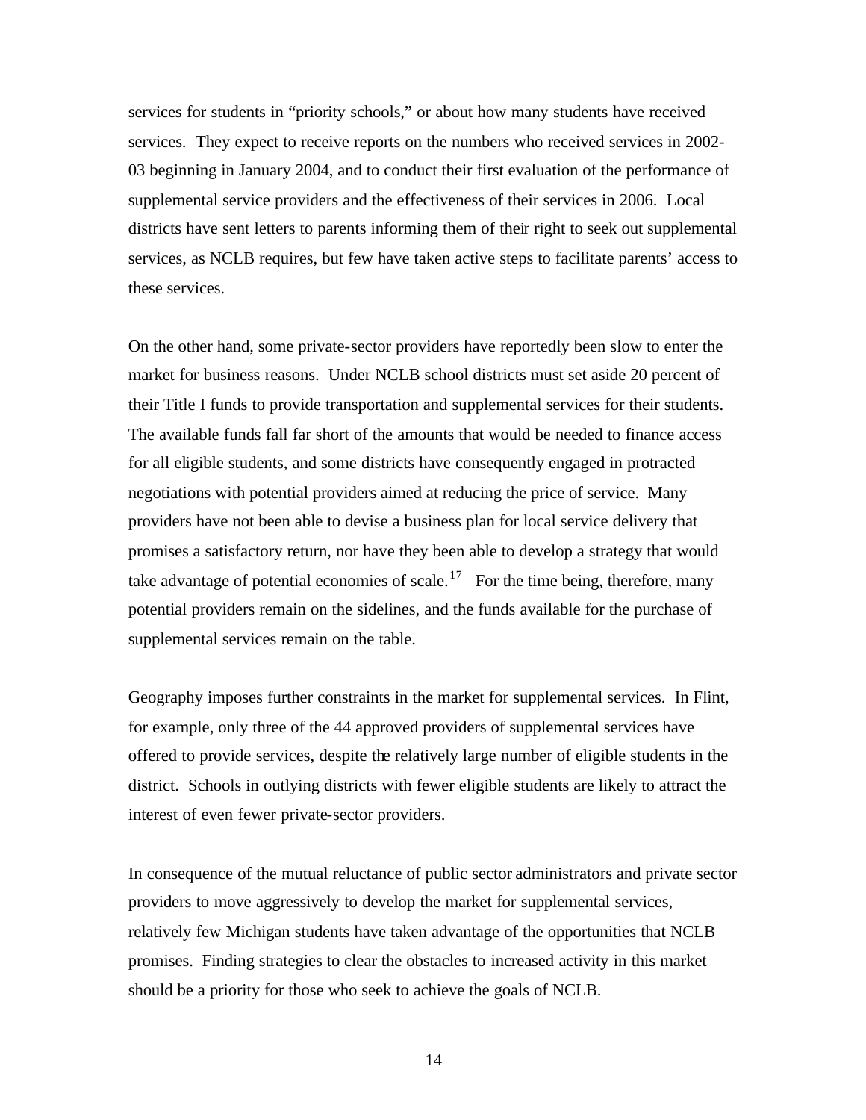services for students in "priority schools," or about how many students have received services. They expect to receive reports on the numbers who received services in 2002- 03 beginning in January 2004, and to conduct their first evaluation of the performance of supplemental service providers and the effectiveness of their services in 2006. Local districts have sent letters to parents informing them of their right to seek out supplemental services, as NCLB requires, but few have taken active steps to facilitate parents' access to these services.

On the other hand, some private-sector providers have reportedly been slow to enter the market for business reasons. Under NCLB school districts must set aside 20 percent of their Title I funds to provide transportation and supplemental services for their students. The available funds fall far short of the amounts that would be needed to finance access for all eligible students, and some districts have consequently engaged in protracted negotiations with potential providers aimed at reducing the price of service. Many providers have not been able to devise a business plan for local service delivery that promises a satisfactory return, nor have they been able to develop a strategy that would take advantage of potential economies of scale.<sup>17</sup> For the time being, therefore, many potential providers remain on the sidelines, and the funds available for the purchase of supplemental services remain on the table.

Geography imposes further constraints in the market for supplemental services. In Flint, for example, only three of the 44 approved providers of supplemental services have offered to provide services, despite the relatively large number of eligible students in the district. Schools in outlying districts with fewer eligible students are likely to attract the interest of even fewer private-sector providers.

In consequence of the mutual reluctance of public sector administrators and private sector providers to move aggressively to develop the market for supplemental services, relatively few Michigan students have taken advantage of the opportunities that NCLB promises. Finding strategies to clear the obstacles to increased activity in this market should be a priority for those who seek to achieve the goals of NCLB.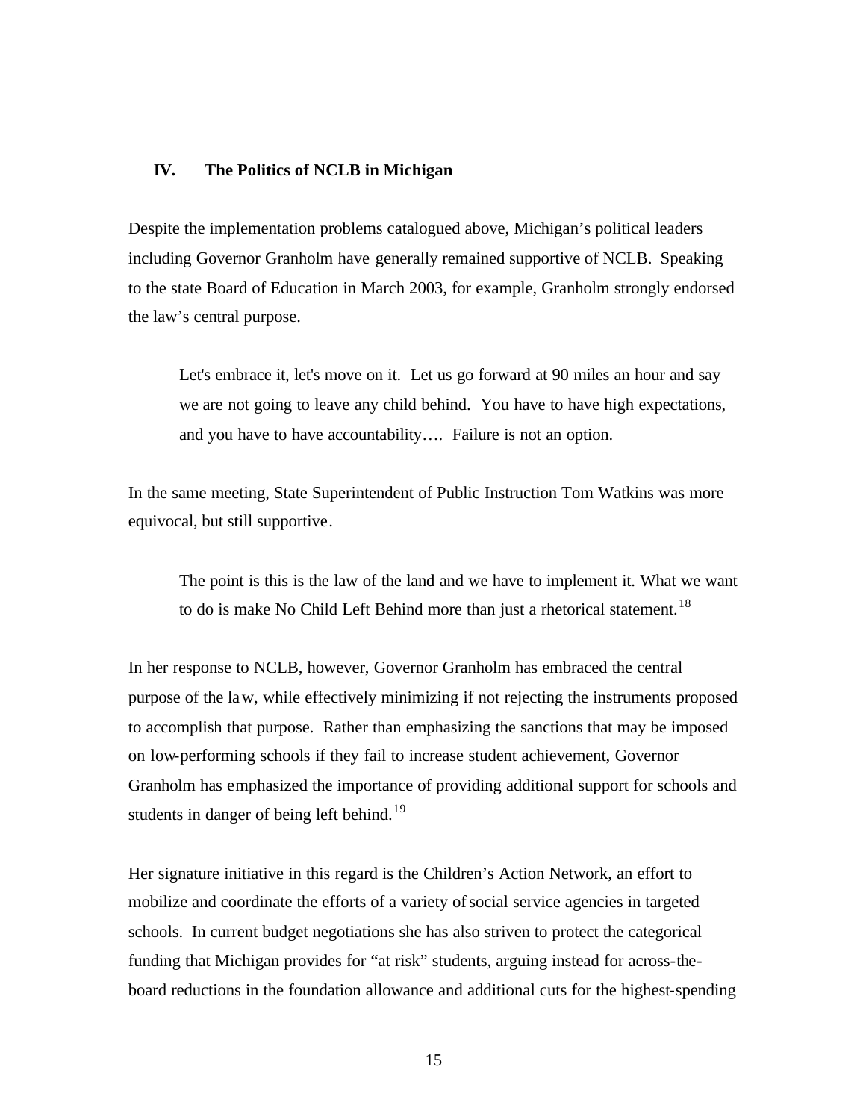#### **IV. The Politics of NCLB in Michigan**

Despite the implementation problems catalogued above, Michigan's political leaders including Governor Granholm have generally remained supportive of NCLB. Speaking to the state Board of Education in March 2003, for example, Granholm strongly endorsed the law's central purpose.

Let's embrace it, let's move on it. Let us go forward at 90 miles an hour and say we are not going to leave any child behind. You have to have high expectations, and you have to have accountability…. Failure is not an option.

In the same meeting, State Superintendent of Public Instruction Tom Watkins was more equivocal, but still supportive.

The point is this is the law of the land and we have to implement it. What we want to do is make No Child Left Behind more than just a rhetorical statement.<sup>18</sup>

In her response to NCLB, however, Governor Granholm has embraced the central purpose of the law, while effectively minimizing if not rejecting the instruments proposed to accomplish that purpose. Rather than emphasizing the sanctions that may be imposed on low-performing schools if they fail to increase student achievement, Governor Granholm has emphasized the importance of providing additional support for schools and students in danger of being left behind.<sup>19</sup>

Her signature initiative in this regard is the Children's Action Network, an effort to mobilize and coordinate the efforts of a variety of social service agencies in targeted schools. In current budget negotiations she has also striven to protect the categorical funding that Michigan provides for "at risk" students, arguing instead for across-theboard reductions in the foundation allowance and additional cuts for the highest-spending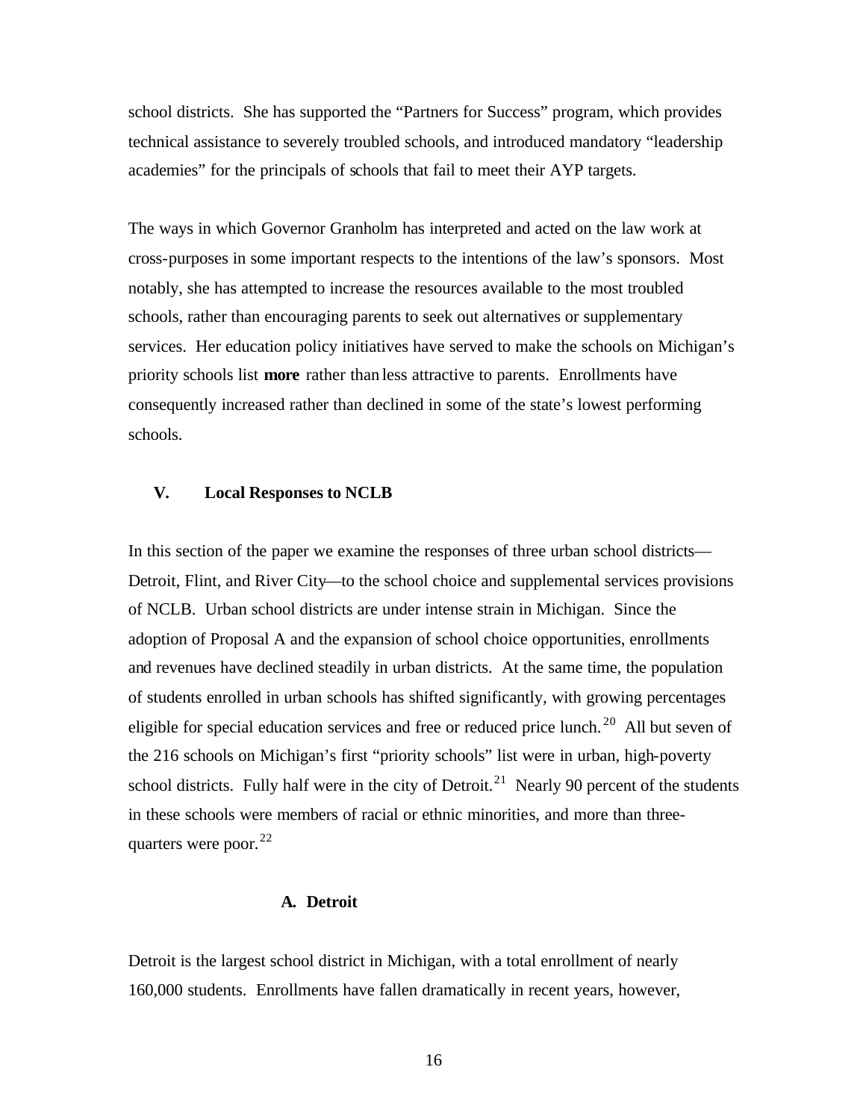school districts. She has supported the "Partners for Success" program, which provides technical assistance to severely troubled schools, and introduced mandatory "leadership academies" for the principals of schools that fail to meet their AYP targets.

The ways in which Governor Granholm has interpreted and acted on the law work at cross-purposes in some important respects to the intentions of the law's sponsors. Most notably, she has attempted to increase the resources available to the most troubled schools, rather than encouraging parents to seek out alternatives or supplementary services. Her education policy initiatives have served to make the schools on Michigan's priority schools list **more** rather than less attractive to parents. Enrollments have consequently increased rather than declined in some of the state's lowest performing schools.

# **V. Local Responses to NCLB**

In this section of the paper we examine the responses of three urban school districts— Detroit, Flint, and River City—to the school choice and supplemental services provisions of NCLB. Urban school districts are under intense strain in Michigan. Since the adoption of Proposal A and the expansion of school choice opportunities, enrollments and revenues have declined steadily in urban districts. At the same time, the population of students enrolled in urban schools has shifted significantly, with growing percentages eligible for special education services and free or reduced price lunch. <sup>20</sup> All but seven of the 216 schools on Michigan's first "priority schools" list were in urban, high-poverty school districts. Fully half were in the city of Detroit.<sup>21</sup> Nearly 90 percent of the students in these schools were members of racial or ethnic minorities, and more than threequarters were poor. $^{22}$ 

# **A. Detroit**

Detroit is the largest school district in Michigan, with a total enrollment of nearly 160,000 students. Enrollments have fallen dramatically in recent years, however,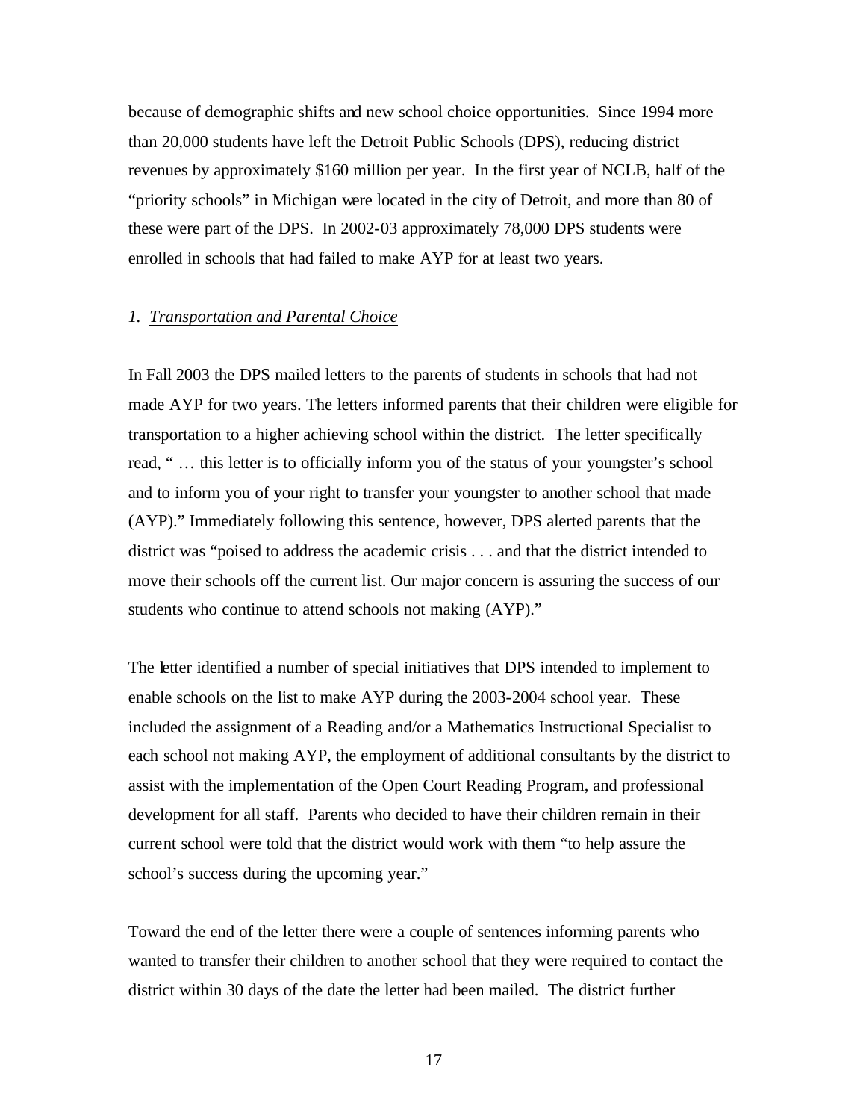because of demographic shifts and new school choice opportunities. Since 1994 more than 20,000 students have left the Detroit Public Schools (DPS), reducing district revenues by approximately \$160 million per year. In the first year of NCLB, half of the "priority schools" in Michigan were located in the city of Detroit, and more than 80 of these were part of the DPS. In 2002-03 approximately 78,000 DPS students were enrolled in schools that had failed to make AYP for at least two years.

#### *1. Transportation and Parental Choice*

In Fall 2003 the DPS mailed letters to the parents of students in schools that had not made AYP for two years. The letters informed parents that their children were eligible for transportation to a higher achieving school within the district. The letter specifically read, " … this letter is to officially inform you of the status of your youngster's school and to inform you of your right to transfer your youngster to another school that made (AYP)." Immediately following this sentence, however, DPS alerted parents that the district was "poised to address the academic crisis . . . and that the district intended to move their schools off the current list. Our major concern is assuring the success of our students who continue to attend schools not making (AYP)."

The letter identified a number of special initiatives that DPS intended to implement to enable schools on the list to make AYP during the 2003-2004 school year. These included the assignment of a Reading and/or a Mathematics Instructional Specialist to each school not making AYP, the employment of additional consultants by the district to assist with the implementation of the Open Court Reading Program, and professional development for all staff. Parents who decided to have their children remain in their current school were told that the district would work with them "to help assure the school's success during the upcoming year."

Toward the end of the letter there were a couple of sentences informing parents who wanted to transfer their children to another school that they were required to contact the district within 30 days of the date the letter had been mailed. The district further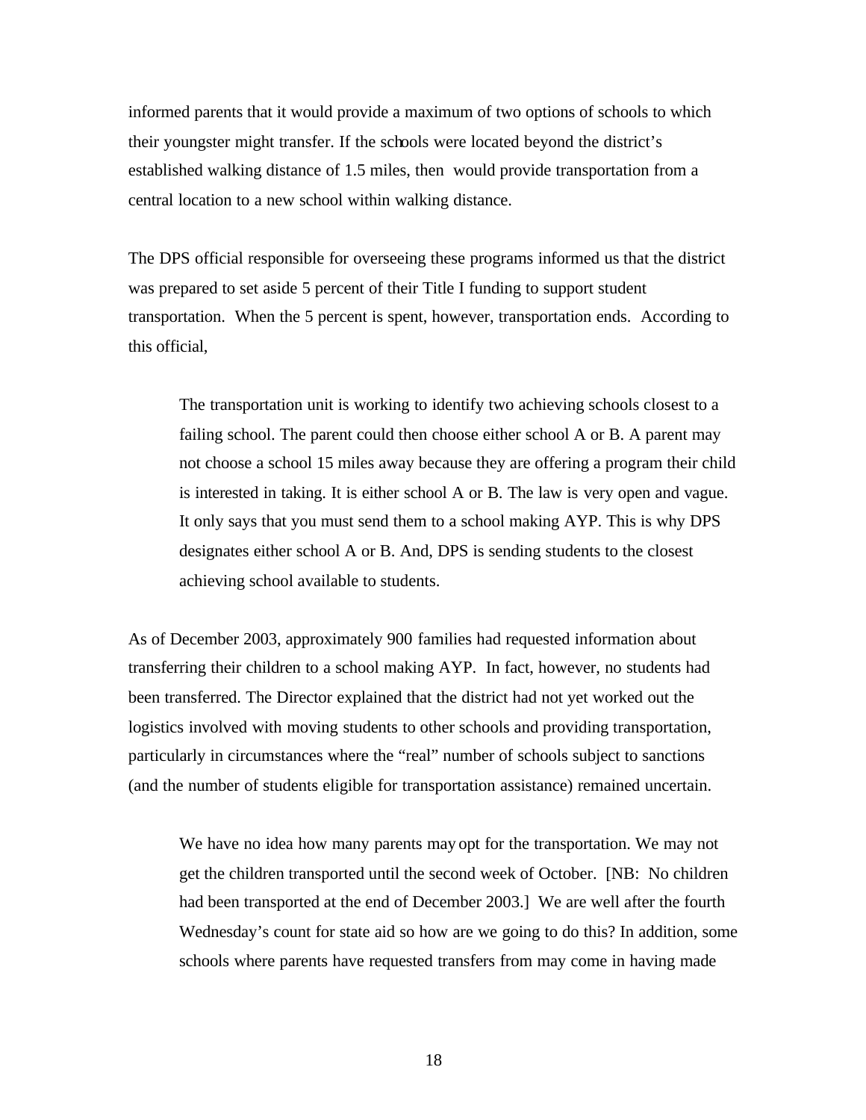informed parents that it would provide a maximum of two options of schools to which their youngster might transfer. If the schools were located beyond the district's established walking distance of 1.5 miles, then would provide transportation from a central location to a new school within walking distance.

The DPS official responsible for overseeing these programs informed us that the district was prepared to set aside 5 percent of their Title I funding to support student transportation. When the 5 percent is spent, however, transportation ends. According to this official,

The transportation unit is working to identify two achieving schools closest to a failing school. The parent could then choose either school A or B. A parent may not choose a school 15 miles away because they are offering a program their child is interested in taking. It is either school A or B. The law is very open and vague. It only says that you must send them to a school making AYP. This is why DPS designates either school A or B. And, DPS is sending students to the closest achieving school available to students.

As of December 2003, approximately 900 families had requested information about transferring their children to a school making AYP. In fact, however, no students had been transferred. The Director explained that the district had not yet worked out the logistics involved with moving students to other schools and providing transportation, particularly in circumstances where the "real" number of schools subject to sanctions (and the number of students eligible for transportation assistance) remained uncertain.

We have no idea how many parents may opt for the transportation. We may not get the children transported until the second week of October. [NB: No children had been transported at the end of December 2003.] We are well after the fourth Wednesday's count for state aid so how are we going to do this? In addition, some schools where parents have requested transfers from may come in having made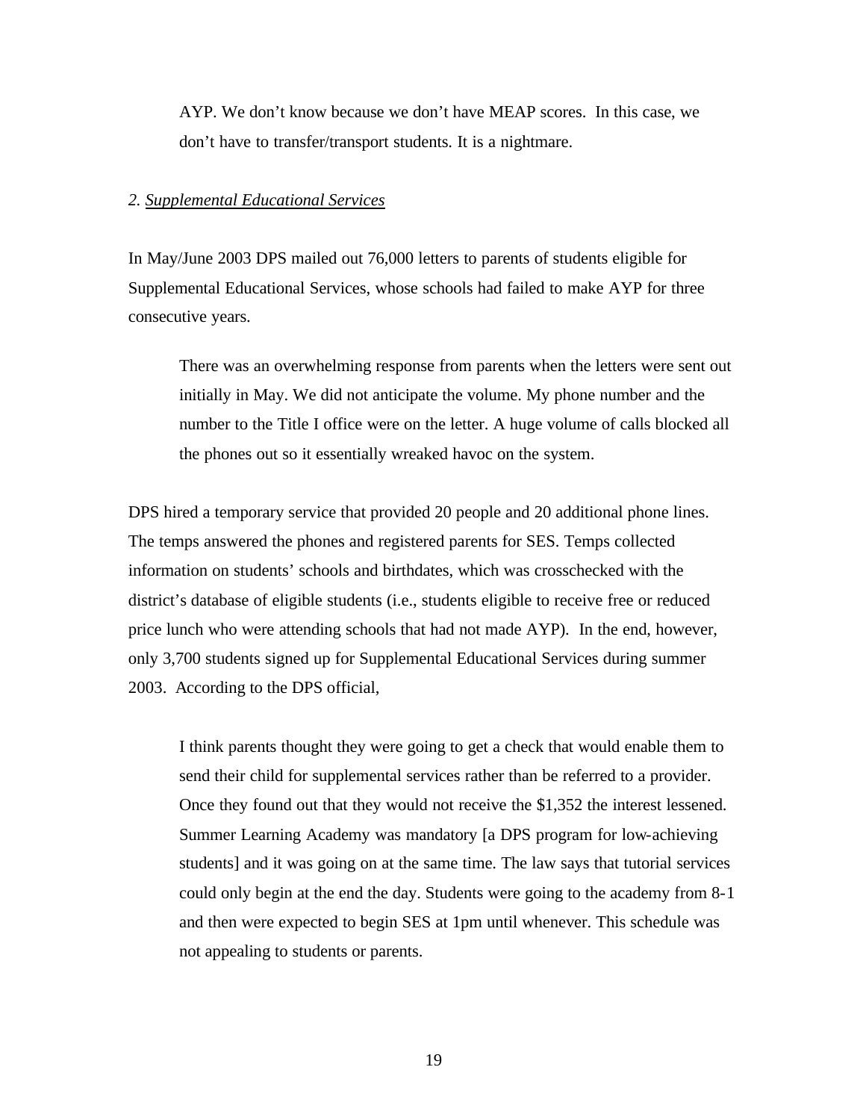AYP. We don't know because we don't have MEAP scores. In this case, we don't have to transfer/transport students. It is a nightmare.

#### *2. Supplemental Educational Services*

In May/June 2003 DPS mailed out 76,000 letters to parents of students eligible for Supplemental Educational Services, whose schools had failed to make AYP for three consecutive years.

There was an overwhelming response from parents when the letters were sent out initially in May. We did not anticipate the volume. My phone number and the number to the Title I office were on the letter. A huge volume of calls blocked all the phones out so it essentially wreaked havoc on the system.

DPS hired a temporary service that provided 20 people and 20 additional phone lines. The temps answered the phones and registered parents for SES. Temps collected information on students' schools and birthdates, which was crosschecked with the district's database of eligible students (i.e., students eligible to receive free or reduced price lunch who were attending schools that had not made AYP). In the end, however, only 3,700 students signed up for Supplemental Educational Services during summer 2003. According to the DPS official,

I think parents thought they were going to get a check that would enable them to send their child for supplemental services rather than be referred to a provider. Once they found out that they would not receive the \$1,352 the interest lessened. Summer Learning Academy was mandatory [a DPS program for low-achieving students] and it was going on at the same time. The law says that tutorial services could only begin at the end the day. Students were going to the academy from 8-1 and then were expected to begin SES at 1pm until whenever. This schedule was not appealing to students or parents.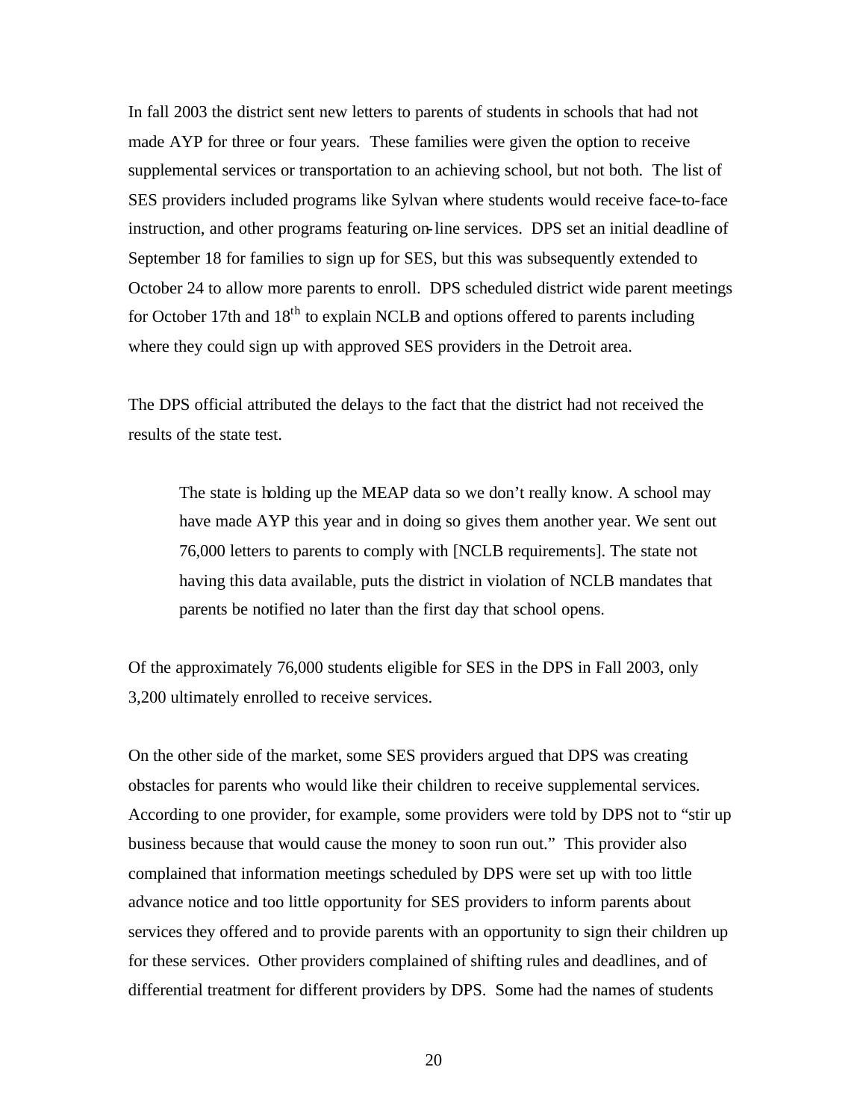In fall 2003 the district sent new letters to parents of students in schools that had not made AYP for three or four years. These families were given the option to receive supplemental services or transportation to an achieving school, but not both. The list of SES providers included programs like Sylvan where students would receive face-to-face instruction, and other programs featuring on-line services. DPS set an initial deadline of September 18 for families to sign up for SES, but this was subsequently extended to October 24 to allow more parents to enroll. DPS scheduled district wide parent meetings for October 17th and  $18<sup>th</sup>$  to explain NCLB and options offered to parents including where they could sign up with approved SES providers in the Detroit area.

The DPS official attributed the delays to the fact that the district had not received the results of the state test.

The state is holding up the MEAP data so we don't really know. A school may have made AYP this year and in doing so gives them another year. We sent out 76,000 letters to parents to comply with [NCLB requirements]. The state not having this data available, puts the district in violation of NCLB mandates that parents be notified no later than the first day that school opens.

Of the approximately 76,000 students eligible for SES in the DPS in Fall 2003, only 3,200 ultimately enrolled to receive services.

On the other side of the market, some SES providers argued that DPS was creating obstacles for parents who would like their children to receive supplemental services. According to one provider, for example, some providers were told by DPS not to "stir up business because that would cause the money to soon run out." This provider also complained that information meetings scheduled by DPS were set up with too little advance notice and too little opportunity for SES providers to inform parents about services they offered and to provide parents with an opportunity to sign their children up for these services. Other providers complained of shifting rules and deadlines, and of differential treatment for different providers by DPS. Some had the names of students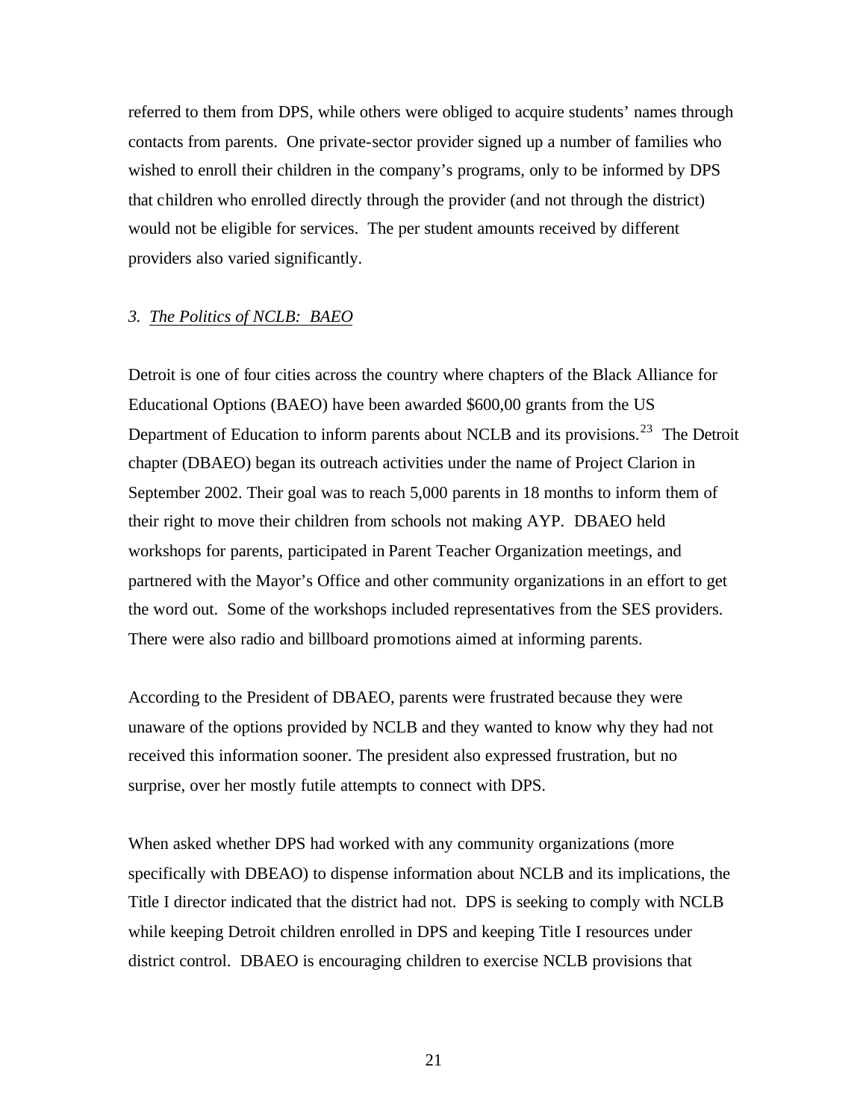referred to them from DPS, while others were obliged to acquire students' names through contacts from parents. One private-sector provider signed up a number of families who wished to enroll their children in the company's programs, only to be informed by DPS that children who enrolled directly through the provider (and not through the district) would not be eligible for services. The per student amounts received by different providers also varied significantly.

#### *3. The Politics of NCLB: BAEO*

Detroit is one of four cities across the country where chapters of the Black Alliance for Educational Options (BAEO) have been awarded \$600,00 grants from the US Department of Education to inform parents about NCLB and its provisions.<sup>23</sup> The Detroit chapter (DBAEO) began its outreach activities under the name of Project Clarion in September 2002. Their goal was to reach 5,000 parents in 18 months to inform them of their right to move their children from schools not making AYP. DBAEO held workshops for parents, participated in Parent Teacher Organization meetings, and partnered with the Mayor's Office and other community organizations in an effort to get the word out. Some of the workshops included representatives from the SES providers. There were also radio and billboard promotions aimed at informing parents.

According to the President of DBAEO, parents were frustrated because they were unaware of the options provided by NCLB and they wanted to know why they had not received this information sooner. The president also expressed frustration, but no surprise, over her mostly futile attempts to connect with DPS.

When asked whether DPS had worked with any community organizations (more specifically with DBEAO) to dispense information about NCLB and its implications, the Title I director indicated that the district had not. DPS is seeking to comply with NCLB while keeping Detroit children enrolled in DPS and keeping Title I resources under district control. DBAEO is encouraging children to exercise NCLB provisions that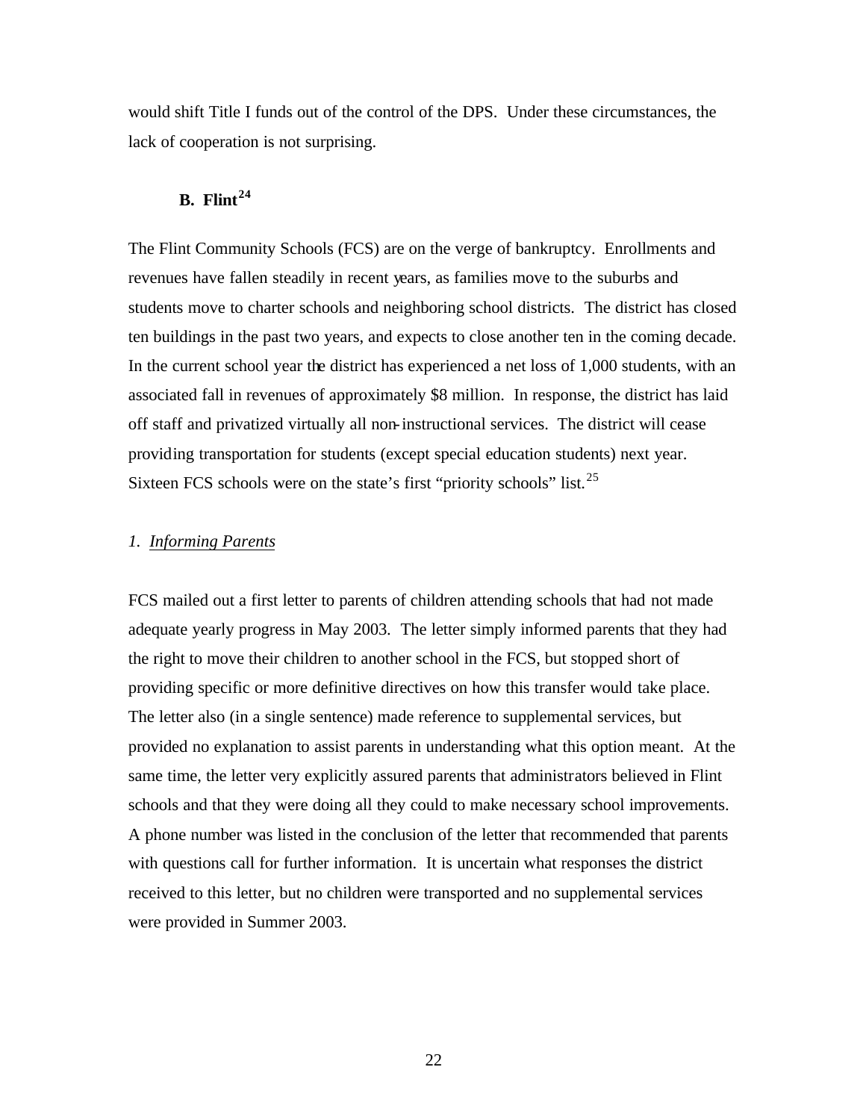would shift Title I funds out of the control of the DPS. Under these circumstances, the lack of cooperation is not surprising.

# **B. Flint<sup>24</sup>**

The Flint Community Schools (FCS) are on the verge of bankruptcy. Enrollments and revenues have fallen steadily in recent years, as families move to the suburbs and students move to charter schools and neighboring school districts. The district has closed ten buildings in the past two years, and expects to close another ten in the coming decade. In the current school year the district has experienced a net loss of 1,000 students, with an associated fall in revenues of approximately \$8 million. In response, the district has laid off staff and privatized virtually all non-instructional services. The district will cease providing transportation for students (except special education students) next year. Sixteen FCS schools were on the state's first "priority schools" list.<sup>25</sup>

# *1. Informing Parents*

FCS mailed out a first letter to parents of children attending schools that had not made adequate yearly progress in May 2003. The letter simply informed parents that they had the right to move their children to another school in the FCS, but stopped short of providing specific or more definitive directives on how this transfer would take place. The letter also (in a single sentence) made reference to supplemental services, but provided no explanation to assist parents in understanding what this option meant. At the same time, the letter very explicitly assured parents that administrators believed in Flint schools and that they were doing all they could to make necessary school improvements. A phone number was listed in the conclusion of the letter that recommended that parents with questions call for further information. It is uncertain what responses the district received to this letter, but no children were transported and no supplemental services were provided in Summer 2003.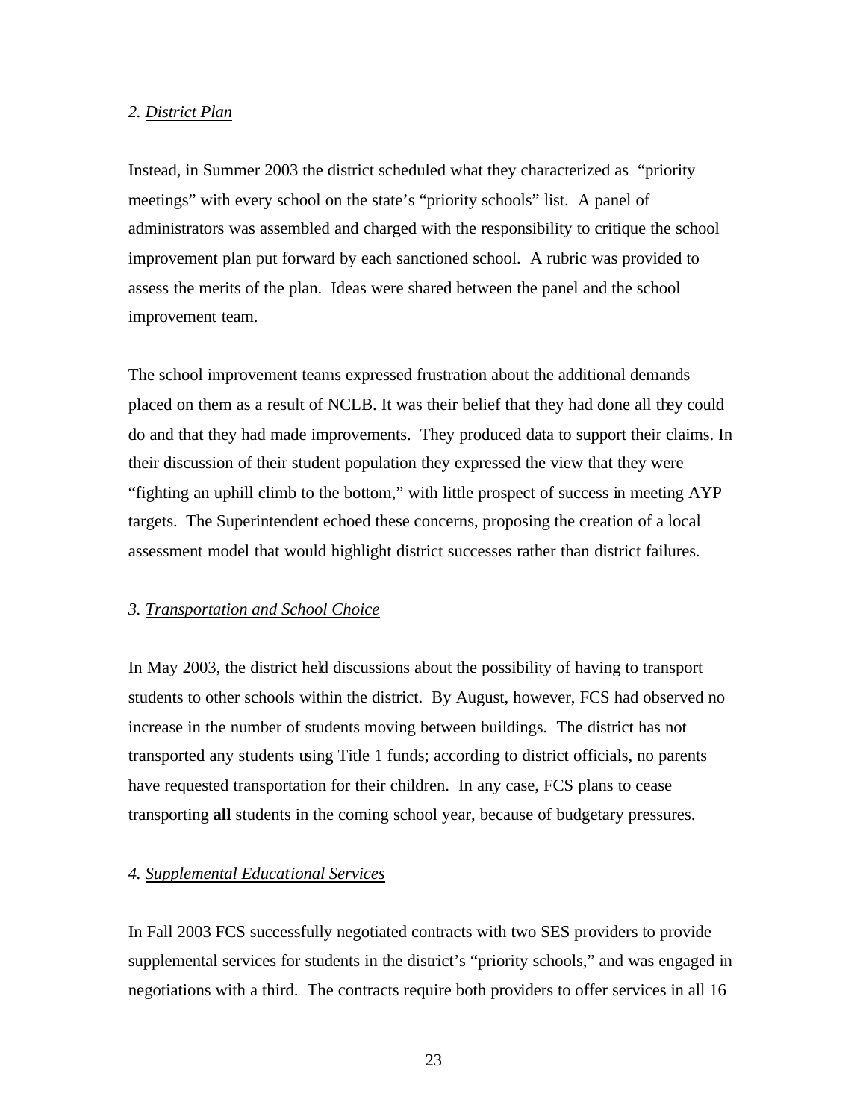#### *2. District Plan*

Instead, in Summer 2003 the district scheduled what they characterized as "priority meetings" with every school on the state's "priority schools" list. A panel of administrators was assembled and charged with the responsibility to critique the school improvement plan put forward by each sanctioned school. A rubric was provided to assess the merits of the plan. Ideas were shared between the panel and the school improvement team.

The school improvement teams expressed frustration about the additional demands placed on them as a result of NCLB. It was their belief that they had done all they could do and that they had made improvements. They produced data to support their claims. In their discussion of their student population they expressed the view that they were "fighting an uphill climb to the bottom," with little prospect of success in meeting AYP targets. The Superintendent echoed these concerns, proposing the creation of a local assessment model that would highlight district successes rather than district failures.

#### *3. Transportation and School Choice*

In May 2003, the district held discussions about the possibility of having to transport students to other schools within the district. By August, however, FCS had observed no increase in the number of students moving between buildings. The district has not transported any students using Title 1 funds; according to district officials, no parents have requested transportation for their children. In any case, FCS plans to cease transporting **all** students in the coming school year, because of budgetary pressures.

### *4. Supplemental Educational Services*

In Fall 2003 FCS successfully negotiated contracts with two SES providers to provide supplemental services for students in the district's "priority schools," and was engaged in negotiations with a third. The contracts require both providers to offer services in all 16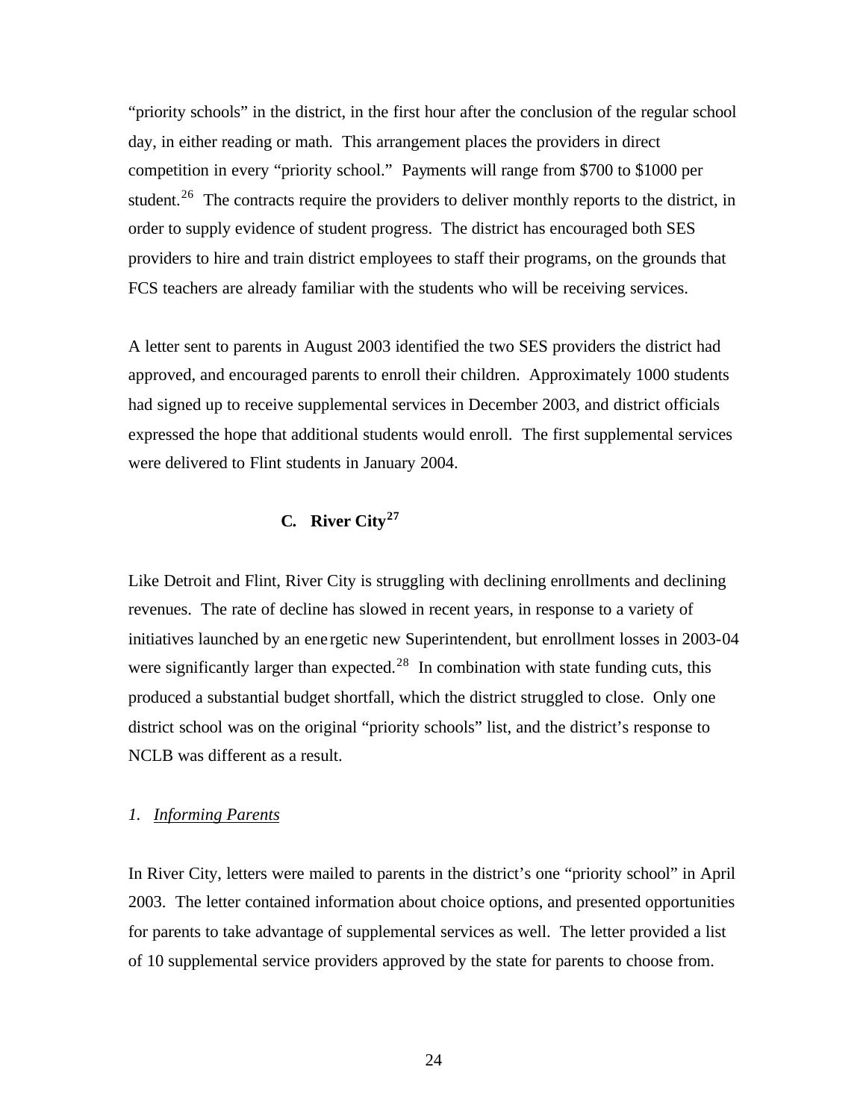"priority schools" in the district, in the first hour after the conclusion of the regular school day, in either reading or math. This arrangement places the providers in direct competition in every "priority school." Payments will range from \$700 to \$1000 per student.<sup>26</sup> The contracts require the providers to deliver monthly reports to the district, in order to supply evidence of student progress. The district has encouraged both SES providers to hire and train district employees to staff their programs, on the grounds that FCS teachers are already familiar with the students who will be receiving services.

A letter sent to parents in August 2003 identified the two SES providers the district had approved, and encouraged parents to enroll their children. Approximately 1000 students had signed up to receive supplemental services in December 2003, and district officials expressed the hope that additional students would enroll. The first supplemental services were delivered to Flint students in January 2004.

# **C. River City<sup>27</sup>**

Like Detroit and Flint, River City is struggling with declining enrollments and declining revenues. The rate of decline has slowed in recent years, in response to a variety of initiatives launched by an ene rgetic new Superintendent, but enrollment losses in 2003-04 were significantly larger than expected.<sup>28</sup> In combination with state funding cuts, this produced a substantial budget shortfall, which the district struggled to close. Only one district school was on the original "priority schools" list, and the district's response to NCLB was different as a result.

#### *1. Informing Parents*

In River City, letters were mailed to parents in the district's one "priority school" in April 2003. The letter contained information about choice options, and presented opportunities for parents to take advantage of supplemental services as well. The letter provided a list of 10 supplemental service providers approved by the state for parents to choose from.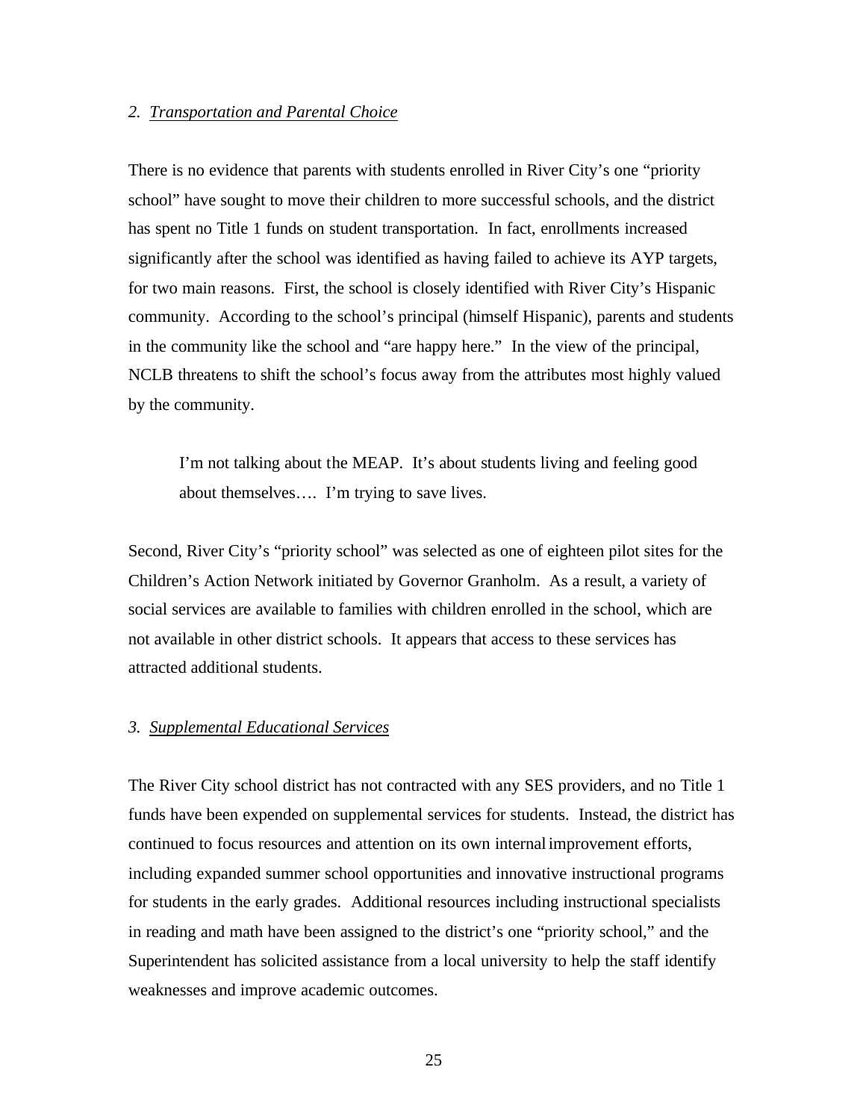#### *2. Transportation and Parental Choice*

There is no evidence that parents with students enrolled in River City's one "priority school" have sought to move their children to more successful schools, and the district has spent no Title 1 funds on student transportation. In fact, enrollments increased significantly after the school was identified as having failed to achieve its AYP targets, for two main reasons. First, the school is closely identified with River City's Hispanic community. According to the school's principal (himself Hispanic), parents and students in the community like the school and "are happy here." In the view of the principal, NCLB threatens to shift the school's focus away from the attributes most highly valued by the community.

I'm not talking about the MEAP. It's about students living and feeling good about themselves…. I'm trying to save lives.

Second, River City's "priority school" was selected as one of eighteen pilot sites for the Children's Action Network initiated by Governor Granholm. As a result, a variety of social services are available to families with children enrolled in the school, which are not available in other district schools. It appears that access to these services has attracted additional students.

# *3. Supplemental Educational Services*

The River City school district has not contracted with any SES providers, and no Title 1 funds have been expended on supplemental services for students. Instead, the district has continued to focus resources and attention on its own internal improvement efforts, including expanded summer school opportunities and innovative instructional programs for students in the early grades. Additional resources including instructional specialists in reading and math have been assigned to the district's one "priority school," and the Superintendent has solicited assistance from a local university to help the staff identify weaknesses and improve academic outcomes.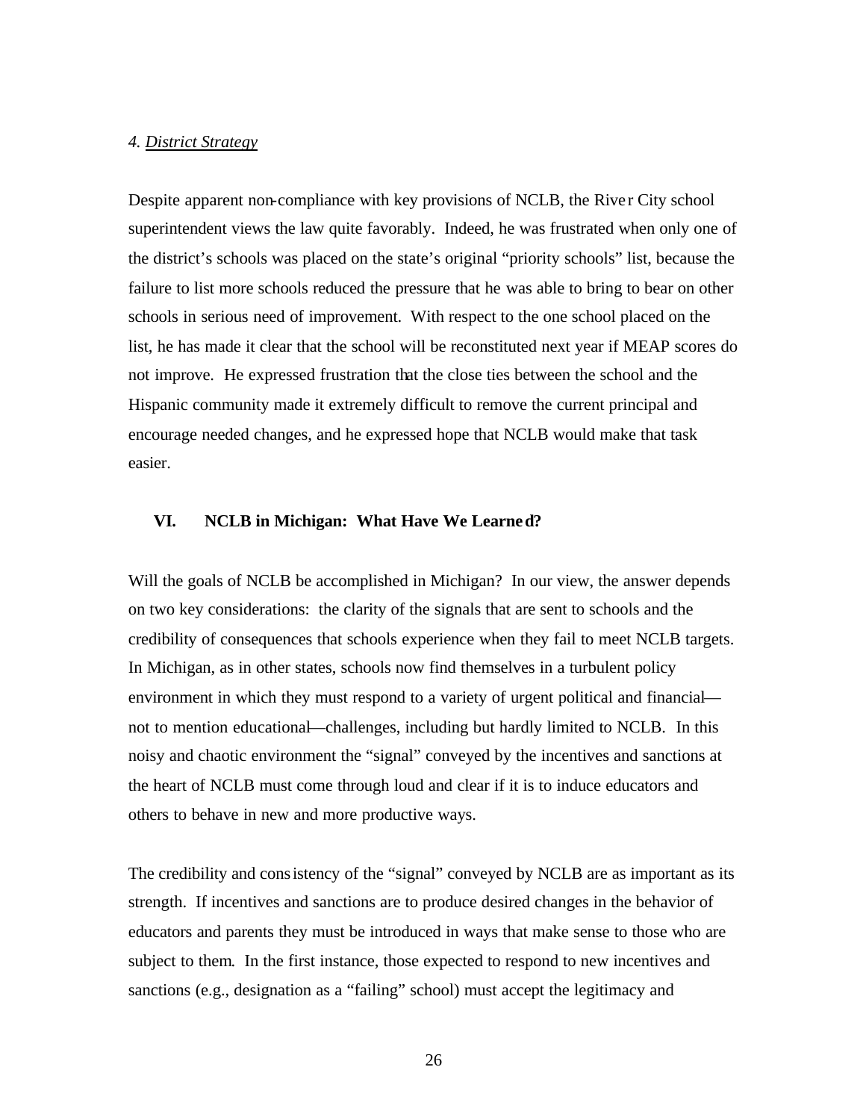#### *4. District Strategy*

Despite apparent non-compliance with key provisions of NCLB, the River City school superintendent views the law quite favorably. Indeed, he was frustrated when only one of the district's schools was placed on the state's original "priority schools" list, because the failure to list more schools reduced the pressure that he was able to bring to bear on other schools in serious need of improvement. With respect to the one school placed on the list, he has made it clear that the school will be reconstituted next year if MEAP scores do not improve. He expressed frustration that the close ties between the school and the Hispanic community made it extremely difficult to remove the current principal and encourage needed changes, and he expressed hope that NCLB would make that task easier.

# **VI. NCLB in Michigan: What Have We Learned?**

Will the goals of NCLB be accomplished in Michigan? In our view, the answer depends on two key considerations: the clarity of the signals that are sent to schools and the credibility of consequences that schools experience when they fail to meet NCLB targets. In Michigan, as in other states, schools now find themselves in a turbulent policy environment in which they must respond to a variety of urgent political and financial not to mention educational—challenges, including but hardly limited to NCLB. In this noisy and chaotic environment the "signal" conveyed by the incentives and sanctions at the heart of NCLB must come through loud and clear if it is to induce educators and others to behave in new and more productive ways.

The credibility and consistency of the "signal" conveyed by NCLB are as important as its strength. If incentives and sanctions are to produce desired changes in the behavior of educators and parents they must be introduced in ways that make sense to those who are subject to them. In the first instance, those expected to respond to new incentives and sanctions (e.g., designation as a "failing" school) must accept the legitimacy and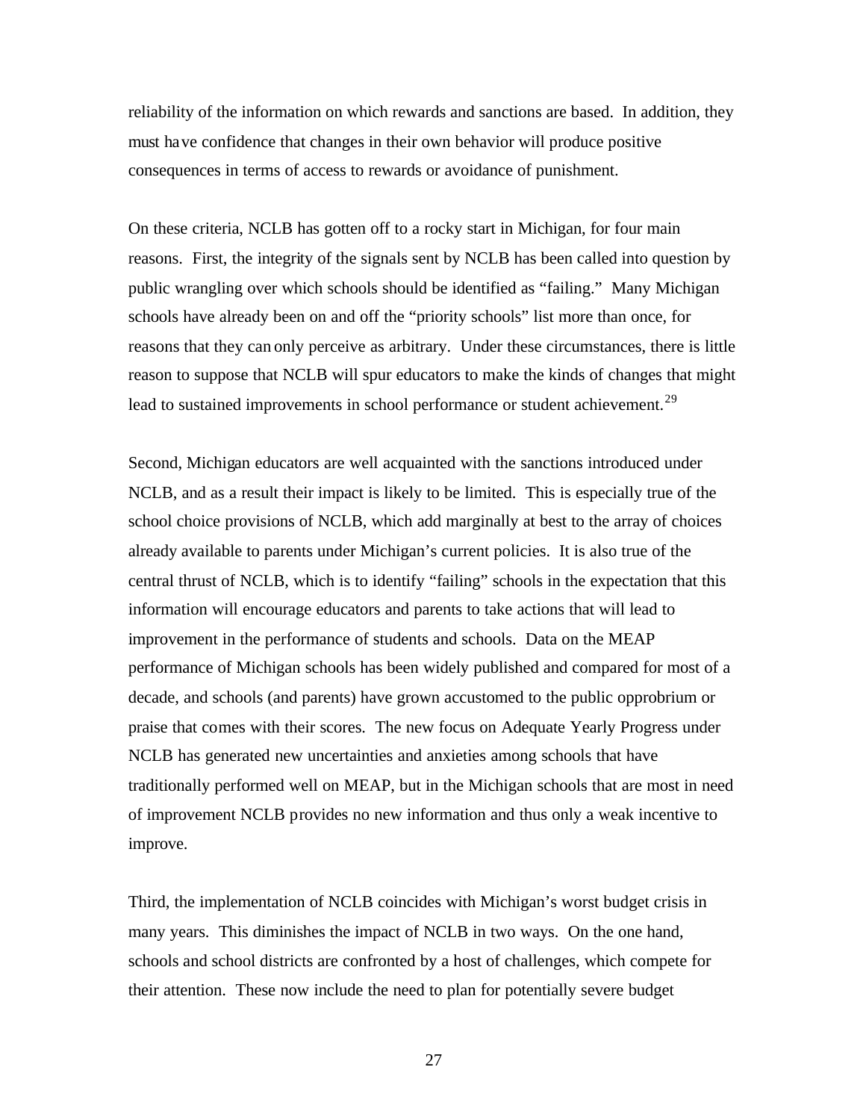reliability of the information on which rewards and sanctions are based. In addition, they must have confidence that changes in their own behavior will produce positive consequences in terms of access to rewards or avoidance of punishment.

On these criteria, NCLB has gotten off to a rocky start in Michigan, for four main reasons. First, the integrity of the signals sent by NCLB has been called into question by public wrangling over which schools should be identified as "failing." Many Michigan schools have already been on and off the "priority schools" list more than once, for reasons that they can only perceive as arbitrary. Under these circumstances, there is little reason to suppose that NCLB will spur educators to make the kinds of changes that might lead to sustained improvements in school performance or student achievement.<sup>29</sup>

Second, Michigan educators are well acquainted with the sanctions introduced under NCLB, and as a result their impact is likely to be limited. This is especially true of the school choice provisions of NCLB, which add marginally at best to the array of choices already available to parents under Michigan's current policies. It is also true of the central thrust of NCLB, which is to identify "failing" schools in the expectation that this information will encourage educators and parents to take actions that will lead to improvement in the performance of students and schools. Data on the MEAP performance of Michigan schools has been widely published and compared for most of a decade, and schools (and parents) have grown accustomed to the public opprobrium or praise that comes with their scores. The new focus on Adequate Yearly Progress under NCLB has generated new uncertainties and anxieties among schools that have traditionally performed well on MEAP, but in the Michigan schools that are most in need of improvement NCLB provides no new information and thus only a weak incentive to improve.

Third, the implementation of NCLB coincides with Michigan's worst budget crisis in many years. This diminishes the impact of NCLB in two ways. On the one hand, schools and school districts are confronted by a host of challenges, which compete for their attention. These now include the need to plan for potentially severe budget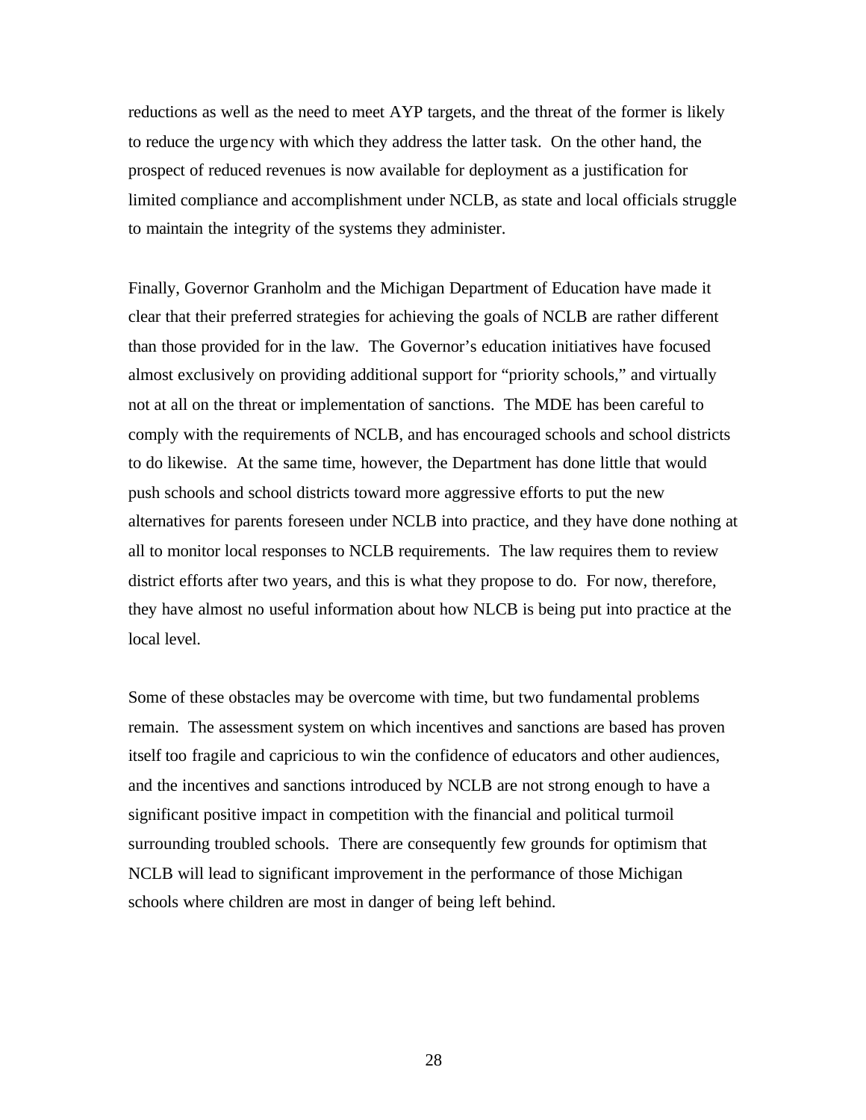reductions as well as the need to meet AYP targets, and the threat of the former is likely to reduce the urgency with which they address the latter task. On the other hand, the prospect of reduced revenues is now available for deployment as a justification for limited compliance and accomplishment under NCLB, as state and local officials struggle to maintain the integrity of the systems they administer.

Finally, Governor Granholm and the Michigan Department of Education have made it clear that their preferred strategies for achieving the goals of NCLB are rather different than those provided for in the law. The Governor's education initiatives have focused almost exclusively on providing additional support for "priority schools," and virtually not at all on the threat or implementation of sanctions. The MDE has been careful to comply with the requirements of NCLB, and has encouraged schools and school districts to do likewise. At the same time, however, the Department has done little that would push schools and school districts toward more aggressive efforts to put the new alternatives for parents foreseen under NCLB into practice, and they have done nothing at all to monitor local responses to NCLB requirements. The law requires them to review district efforts after two years, and this is what they propose to do. For now, therefore, they have almost no useful information about how NLCB is being put into practice at the local level.

Some of these obstacles may be overcome with time, but two fundamental problems remain. The assessment system on which incentives and sanctions are based has proven itself too fragile and capricious to win the confidence of educators and other audiences, and the incentives and sanctions introduced by NCLB are not strong enough to have a significant positive impact in competition with the financial and political turmoil surrounding troubled schools. There are consequently few grounds for optimism that NCLB will lead to significant improvement in the performance of those Michigan schools where children are most in danger of being left behind.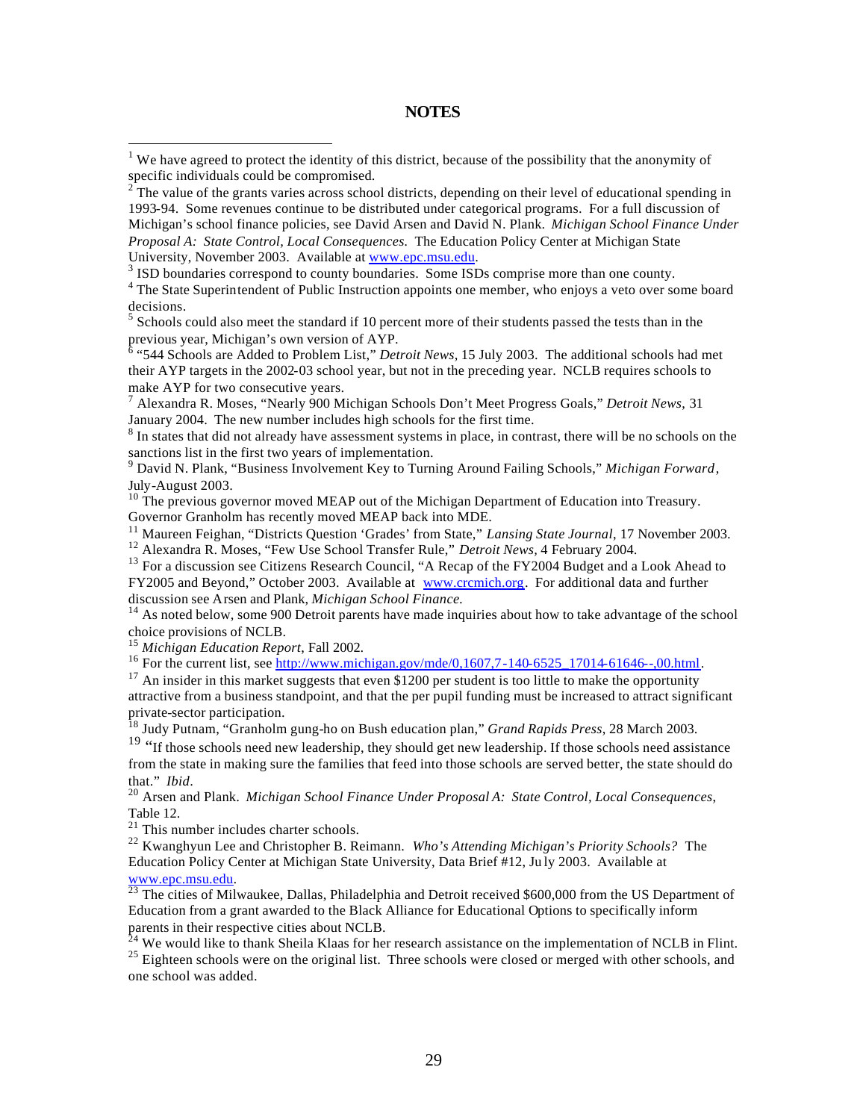#### **NOTES**

<sup>4</sup> The State Superintendent of Public Instruction appoints one member, who enjoys a veto over some board decisions.

 $<sup>5</sup>$  Schools could also meet the standard if 10 percent more of their students passed the tests than in the</sup>

previous year, Michigan's own version of AYP.<br><sup>6</sup> "544 Schools are Added to Problem List," *Detroit News,* 15 July 2003. The additional schools had met their AYP targets in the 2002-03 school year, but not in the preceding year. NCLB requires schools to make AYP for two consecutive years.

7 Alexandra R. Moses, "Nearly 900 Michigan Schools Don't Meet Progress Goals," *Detroit News*, 31 January 2004. The new number includes high schools for the first time.

 $8$  In states that did not already have assessment systems in place, in contrast, there will be no schools on the sanctions list in the first two years of implementation.

9 David N. Plank, "Business Involvement Key to Turning Around Failing Schools," *Michigan Forward*, July-August 2003.

<sup>10</sup> The previous governor moved MEAP out of the Michigan Department of Education into Treasury. Governor Granholm has recently moved MEAP back into MDE.

<sup>11</sup> Maureen Feighan, "Districts Question 'Grades' from State," *Lansing State Journal*, 17 November 2003.

<sup>12</sup> Alexandra R. Moses, "Few Use School Transfer Rule," *Detroit News,* 4 February 2004.

<sup>13</sup> For a discussion see Citizens Research Council, "A Recap of the FY2004 Budget and a Look Ahead to FY2005 and Beyond," October 2003. Available at www.crcmich.org. For additional data and further discussion see Arsen and Plank, *Michigan School Finance.*

 $14$  As noted below, some 900 Detroit parents have made inquiries about how to take advantage of the school choice provisions of NCLB.

<sup>15</sup> *Michigan Education Report*, Fall 2002.

 $\overline{a}$ 

<sup>16</sup> For the current list, see http://www.michigan.gov/mde/0,1607,7-140-6525\_17014-61646--,00.html.

<sup>17</sup> An insider in this market suggests that even \$1200 per student is too little to make the opportunity attractive from a business standpoint, and that the per pupil funding must be increased to attract significant private-sector participation.

<sup>18</sup> Judy Putnam, "Granholm gung-ho on Bush education plan," *Grand Rapids Press*, 28 March 2003.

<sup>19</sup> "If those schools need new leadership, they should get new leadership. If those schools need assistance from the state in making sure the families that feed into those schools are served better, the state should do that." *Ibid*.

<sup>20</sup> Arsen and Plank. *Michigan School Finance Under Proposal A: State Control, Local Consequences*, Table 12.

<sup>21</sup> This number includes charter schools.

<sup>22</sup> Kwanghyun Lee and Christopher B. Reimann. *Who's Attending Michigan's Priority Schools?* The Education Policy Center at Michigan State University, Data Brief #12, Ju ly 2003. Available at www.epc.msu.edu.

<sup>23</sup> The cities of Milwaukee, Dallas, Philadelphia and Detroit received \$600,000 from the US Department of Education from a grant awarded to the Black Alliance for Educational Options to specifically inform parents in their respective cities about NCLB.

<sup>4</sup> We would like to thank Sheila Klaas for her research assistance on the implementation of NCLB in Flint. <sup>25</sup> Eighteen schools were on the original list. Three schools were closed or merged with other schools, and one school was added.

<sup>&</sup>lt;sup>1</sup> We have agreed to protect the identity of this district, because of the possibility that the anonymity of specific individuals could be compromised.

 $2^{2}$ The value of the grants varies across school districts, depending on their level of educational spending in 1993-94. Some revenues continue to be distributed under categorical programs. For a full discussion of Michigan's school finance policies, see David Arsen and David N. Plank. *Michigan School Finance Under Proposal A: State Control, Local Consequences.* The Education Policy Center at Michigan State University, November 2003. Available at www.epc.msu.edu.

<sup>&</sup>lt;sup>3</sup> ISD boundaries correspond to county boundaries. Some ISDs comprise more than one county.